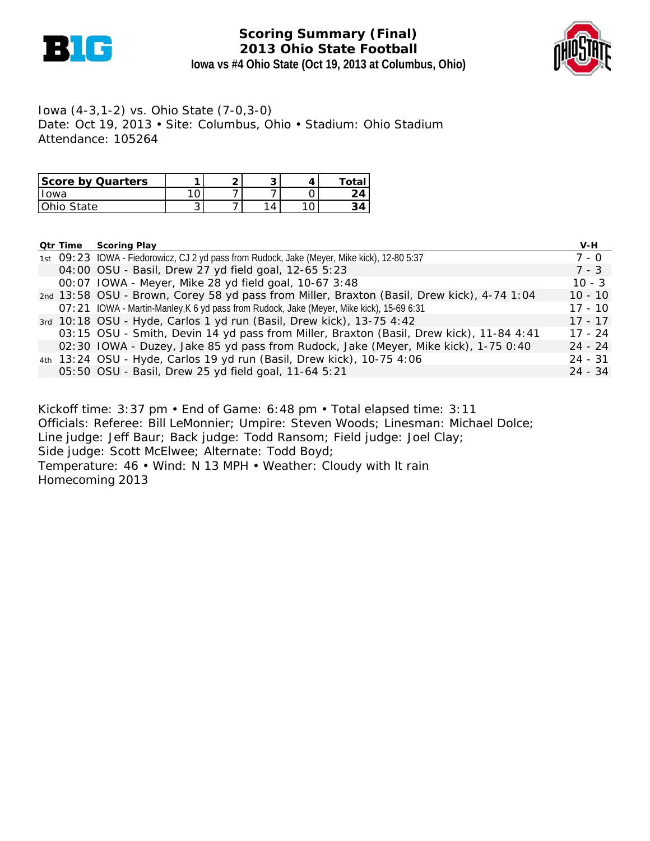

## **Scoring Summary (Final) 2013 Ohio State Football Iowa vs #4 Ohio State (Oct 19, 2013 at Columbus, Ohio)**



Iowa (4-3,1-2) vs. Ohio State (7-0,3-0) Date: Oct 19, 2013 • Site: Columbus, Ohio • Stadium: Ohio Stadium Attendance: 105264

| Score by Quarters |   | ∽ |  | Total |
|-------------------|---|---|--|-------|
| lowa              |   |   |  | 24    |
| Ohio State        | ັ |   |  |       |

|  | <b>Qtr Time Scoring Play</b>                                                                 | V-H       |
|--|----------------------------------------------------------------------------------------------|-----------|
|  | 1st O9: 23 IOWA - Fiedorowicz, CJ 2 yd pass from Rudock, Jake (Meyer, Mike kick), 12-80 5:37 | 7 - 0     |
|  | 04:00 OSU - Basil, Drew 27 yd field goal, 12-65 5:23                                         | $7 - 3$   |
|  | 00:07 IOWA - Meyer, Mike 28 yd field goal, 10-67 3:48                                        | $10 - 3$  |
|  | 2nd 13:58 OSU - Brown, Corey 58 yd pass from Miller, Braxton (Basil, Drew kick), 4-74 1:04   | $10 - 10$ |
|  | O7: 21 IOWA - Martin-Manley, K 6 yd pass from Rudock, Jake (Meyer, Mike kick), 15-69 6:31    | $17 - 10$ |
|  | 3rd 10:18 OSU - Hyde, Carlos 1 yd run (Basil, Drew kick), 13-75 4:42                         | $17 - 17$ |
|  | 03:15 OSU - Smith, Devin 14 yd pass from Miller, Braxton (Basil, Drew kick), 11-84 4:41      | $17 - 24$ |
|  | 02:30 IOWA - Duzey, Jake 85 yd pass from Rudock, Jake (Meyer, Mike kick), 1-75 0:40          | $24 - 24$ |
|  | 4th 13:24 OSU - Hyde, Carlos 19 yd run (Basil, Drew kick), 10-75 4:06                        | $24 - 31$ |
|  | 05:50 OSU - Basil, Drew 25 yd field goal, 11-64 5:21                                         | $24 - 34$ |

Kickoff time: 3:37 pm • End of Game: 6:48 pm • Total elapsed time: 3:11 Officials: Referee: Bill LeMonnier; Umpire: Steven Woods; Linesman: Michael Dolce; Line judge: Jeff Baur; Back judge: Todd Ransom; Field judge: Joel Clay; Side judge: Scott McElwee; Alternate: Todd Boyd; Temperature: 46 • Wind: N 13 MPH • Weather: Cloudy with lt rain Homecoming 2013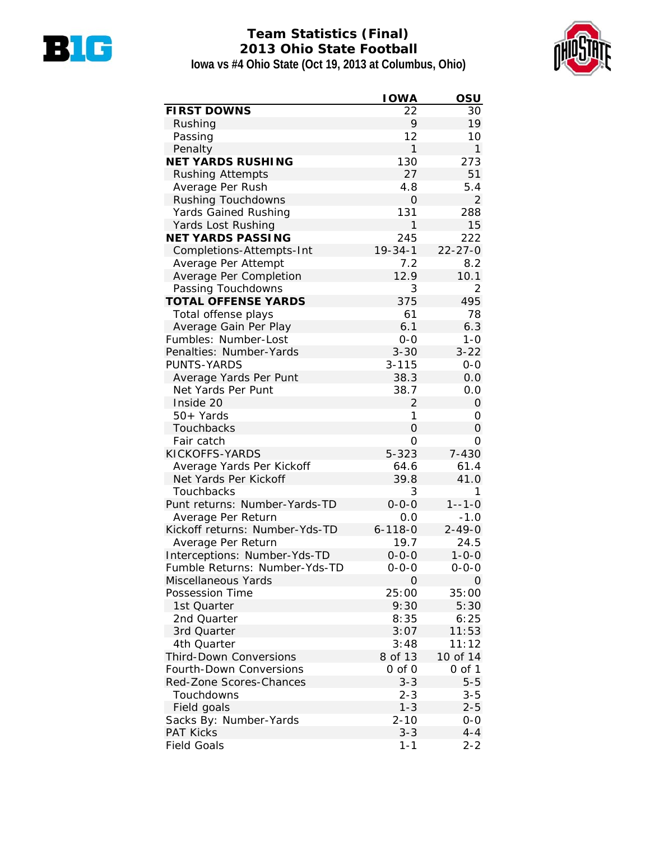

# **Team Statistics (Final) 2013 Ohio State Football Iowa vs #4 Ohio State (Oct 19, 2013 at Columbus, Ohio)**



| <b>FIRST DOWNS</b><br>22<br>30<br>9<br>19<br>Rushing<br>12<br>Passing<br>10<br>1<br>$\mathbf{1}$<br>Penalty<br><b>NET YARDS RUSHING</b><br>130<br>273<br>27<br>51<br><b>Rushing Attempts</b><br>Average Per Rush<br>4.8<br>5.4<br><b>Rushing Touchdowns</b><br>$\overline{2}$<br>O<br>131<br>Yards Gained Rushing<br>288<br>1<br>15<br>Yards Lost Rushing<br><b>NET YARDS PASSING</b><br>245<br>222<br>$19 - 34 - 1$<br>$22 - 27 - 0$<br>Completions-Attempts-Int<br>Average Per Attempt<br>7.2<br>8.2<br>12.9<br>Average Per Completion<br>10.1<br>Passing Touchdowns<br>3<br>$\overline{2}$<br>375<br>495<br><b>TOTAL OFFENSE YARDS</b><br>78<br>61<br>Total offense plays<br>6.3<br>Average Gain Per Play<br>6.1<br>Fumbles: Number-Lost<br>$0 - 0$<br>$1 - 0$<br>Penalties: Number-Yards<br>$3 - 30$<br>$3 - 22$<br>PUNTS-YARDS<br>$3 - 115$<br>$0-0$<br>Average Yards Per Punt<br>38.3<br>0.0<br>Net Yards Per Punt<br>38.7<br>0.0<br>Inside 20<br>2<br>0<br>1<br>50+ Yards<br>0<br><b>Touchbacks</b><br>0<br>0<br>Fair catch<br>0<br>0<br>KICKOFFS-YARDS<br>7-430<br>$5 - 323$<br>61.4<br>Average Yards Per Kickoff<br>64.6<br>Net Yards Per Kickoff<br>39.8<br>41.0<br>Touchbacks<br>3<br>1<br>Punt returns: Number-Yards-TD<br>$0 - 0 - 0$<br>$1 - -1 - 0$<br>Average Per Return<br>0.0<br>$-1.0$<br>Kickoff returns: Number-Yds-TD<br>$6 - 118 - 0$<br>$2 - 49 - 0$<br>19.7<br>24.5<br>Average Per Return<br>Interceptions: Number-Yds-TD<br>$0 - 0 - 0$<br>$1 - 0 - 0$<br>Fumble Returns: Number-Yds-TD<br>0-0-0<br>$0 - 0 - 0$<br>Miscellaneous Yards<br>0<br>0<br>25:00<br>35:00<br>Possession Time<br>1st Quarter<br>9:30<br>5:30<br>2nd Quarter<br>8:35<br>6:25<br>11:53<br>3rd Quarter<br>3:07<br>3:48<br>11:12<br>4th Quarter<br><b>Third-Down Conversions</b><br>8 of 13<br>10 of 14<br><b>Fourth-Down Conversions</b><br>$0$ of $0$<br>$0$ of $1$<br>$5 - 5$<br>Red-Zone Scores-Chances<br>$3 - 3$<br>$3 - 5$<br>Touchdowns<br>$2 - 3$<br>Field goals<br>$1 - 3$<br>$2 - 5$<br>Sacks By: Number-Yards<br>$2 - 10$<br>$0 - 0$<br><b>PAT Kicks</b><br>$3 - 3$<br>$4 - 4$ | <b>IOWA</b> | OSU |
|------------------------------------------------------------------------------------------------------------------------------------------------------------------------------------------------------------------------------------------------------------------------------------------------------------------------------------------------------------------------------------------------------------------------------------------------------------------------------------------------------------------------------------------------------------------------------------------------------------------------------------------------------------------------------------------------------------------------------------------------------------------------------------------------------------------------------------------------------------------------------------------------------------------------------------------------------------------------------------------------------------------------------------------------------------------------------------------------------------------------------------------------------------------------------------------------------------------------------------------------------------------------------------------------------------------------------------------------------------------------------------------------------------------------------------------------------------------------------------------------------------------------------------------------------------------------------------------------------------------------------------------------------------------------------------------------------------------------------------------------------------------------------------------------------------------------------------------------------------------------------------------------------------------------------------------------------------------------------------------------------------------------------------------------------------------------------------------|-------------|-----|
|                                                                                                                                                                                                                                                                                                                                                                                                                                                                                                                                                                                                                                                                                                                                                                                                                                                                                                                                                                                                                                                                                                                                                                                                                                                                                                                                                                                                                                                                                                                                                                                                                                                                                                                                                                                                                                                                                                                                                                                                                                                                                          |             |     |
|                                                                                                                                                                                                                                                                                                                                                                                                                                                                                                                                                                                                                                                                                                                                                                                                                                                                                                                                                                                                                                                                                                                                                                                                                                                                                                                                                                                                                                                                                                                                                                                                                                                                                                                                                                                                                                                                                                                                                                                                                                                                                          |             |     |
|                                                                                                                                                                                                                                                                                                                                                                                                                                                                                                                                                                                                                                                                                                                                                                                                                                                                                                                                                                                                                                                                                                                                                                                                                                                                                                                                                                                                                                                                                                                                                                                                                                                                                                                                                                                                                                                                                                                                                                                                                                                                                          |             |     |
|                                                                                                                                                                                                                                                                                                                                                                                                                                                                                                                                                                                                                                                                                                                                                                                                                                                                                                                                                                                                                                                                                                                                                                                                                                                                                                                                                                                                                                                                                                                                                                                                                                                                                                                                                                                                                                                                                                                                                                                                                                                                                          |             |     |
|                                                                                                                                                                                                                                                                                                                                                                                                                                                                                                                                                                                                                                                                                                                                                                                                                                                                                                                                                                                                                                                                                                                                                                                                                                                                                                                                                                                                                                                                                                                                                                                                                                                                                                                                                                                                                                                                                                                                                                                                                                                                                          |             |     |
|                                                                                                                                                                                                                                                                                                                                                                                                                                                                                                                                                                                                                                                                                                                                                                                                                                                                                                                                                                                                                                                                                                                                                                                                                                                                                                                                                                                                                                                                                                                                                                                                                                                                                                                                                                                                                                                                                                                                                                                                                                                                                          |             |     |
|                                                                                                                                                                                                                                                                                                                                                                                                                                                                                                                                                                                                                                                                                                                                                                                                                                                                                                                                                                                                                                                                                                                                                                                                                                                                                                                                                                                                                                                                                                                                                                                                                                                                                                                                                                                                                                                                                                                                                                                                                                                                                          |             |     |
|                                                                                                                                                                                                                                                                                                                                                                                                                                                                                                                                                                                                                                                                                                                                                                                                                                                                                                                                                                                                                                                                                                                                                                                                                                                                                                                                                                                                                                                                                                                                                                                                                                                                                                                                                                                                                                                                                                                                                                                                                                                                                          |             |     |
|                                                                                                                                                                                                                                                                                                                                                                                                                                                                                                                                                                                                                                                                                                                                                                                                                                                                                                                                                                                                                                                                                                                                                                                                                                                                                                                                                                                                                                                                                                                                                                                                                                                                                                                                                                                                                                                                                                                                                                                                                                                                                          |             |     |
|                                                                                                                                                                                                                                                                                                                                                                                                                                                                                                                                                                                                                                                                                                                                                                                                                                                                                                                                                                                                                                                                                                                                                                                                                                                                                                                                                                                                                                                                                                                                                                                                                                                                                                                                                                                                                                                                                                                                                                                                                                                                                          |             |     |
|                                                                                                                                                                                                                                                                                                                                                                                                                                                                                                                                                                                                                                                                                                                                                                                                                                                                                                                                                                                                                                                                                                                                                                                                                                                                                                                                                                                                                                                                                                                                                                                                                                                                                                                                                                                                                                                                                                                                                                                                                                                                                          |             |     |
|                                                                                                                                                                                                                                                                                                                                                                                                                                                                                                                                                                                                                                                                                                                                                                                                                                                                                                                                                                                                                                                                                                                                                                                                                                                                                                                                                                                                                                                                                                                                                                                                                                                                                                                                                                                                                                                                                                                                                                                                                                                                                          |             |     |
|                                                                                                                                                                                                                                                                                                                                                                                                                                                                                                                                                                                                                                                                                                                                                                                                                                                                                                                                                                                                                                                                                                                                                                                                                                                                                                                                                                                                                                                                                                                                                                                                                                                                                                                                                                                                                                                                                                                                                                                                                                                                                          |             |     |
|                                                                                                                                                                                                                                                                                                                                                                                                                                                                                                                                                                                                                                                                                                                                                                                                                                                                                                                                                                                                                                                                                                                                                                                                                                                                                                                                                                                                                                                                                                                                                                                                                                                                                                                                                                                                                                                                                                                                                                                                                                                                                          |             |     |
|                                                                                                                                                                                                                                                                                                                                                                                                                                                                                                                                                                                                                                                                                                                                                                                                                                                                                                                                                                                                                                                                                                                                                                                                                                                                                                                                                                                                                                                                                                                                                                                                                                                                                                                                                                                                                                                                                                                                                                                                                                                                                          |             |     |
|                                                                                                                                                                                                                                                                                                                                                                                                                                                                                                                                                                                                                                                                                                                                                                                                                                                                                                                                                                                                                                                                                                                                                                                                                                                                                                                                                                                                                                                                                                                                                                                                                                                                                                                                                                                                                                                                                                                                                                                                                                                                                          |             |     |
|                                                                                                                                                                                                                                                                                                                                                                                                                                                                                                                                                                                                                                                                                                                                                                                                                                                                                                                                                                                                                                                                                                                                                                                                                                                                                                                                                                                                                                                                                                                                                                                                                                                                                                                                                                                                                                                                                                                                                                                                                                                                                          |             |     |
|                                                                                                                                                                                                                                                                                                                                                                                                                                                                                                                                                                                                                                                                                                                                                                                                                                                                                                                                                                                                                                                                                                                                                                                                                                                                                                                                                                                                                                                                                                                                                                                                                                                                                                                                                                                                                                                                                                                                                                                                                                                                                          |             |     |
|                                                                                                                                                                                                                                                                                                                                                                                                                                                                                                                                                                                                                                                                                                                                                                                                                                                                                                                                                                                                                                                                                                                                                                                                                                                                                                                                                                                                                                                                                                                                                                                                                                                                                                                                                                                                                                                                                                                                                                                                                                                                                          |             |     |
|                                                                                                                                                                                                                                                                                                                                                                                                                                                                                                                                                                                                                                                                                                                                                                                                                                                                                                                                                                                                                                                                                                                                                                                                                                                                                                                                                                                                                                                                                                                                                                                                                                                                                                                                                                                                                                                                                                                                                                                                                                                                                          |             |     |
|                                                                                                                                                                                                                                                                                                                                                                                                                                                                                                                                                                                                                                                                                                                                                                                                                                                                                                                                                                                                                                                                                                                                                                                                                                                                                                                                                                                                                                                                                                                                                                                                                                                                                                                                                                                                                                                                                                                                                                                                                                                                                          |             |     |
|                                                                                                                                                                                                                                                                                                                                                                                                                                                                                                                                                                                                                                                                                                                                                                                                                                                                                                                                                                                                                                                                                                                                                                                                                                                                                                                                                                                                                                                                                                                                                                                                                                                                                                                                                                                                                                                                                                                                                                                                                                                                                          |             |     |
|                                                                                                                                                                                                                                                                                                                                                                                                                                                                                                                                                                                                                                                                                                                                                                                                                                                                                                                                                                                                                                                                                                                                                                                                                                                                                                                                                                                                                                                                                                                                                                                                                                                                                                                                                                                                                                                                                                                                                                                                                                                                                          |             |     |
|                                                                                                                                                                                                                                                                                                                                                                                                                                                                                                                                                                                                                                                                                                                                                                                                                                                                                                                                                                                                                                                                                                                                                                                                                                                                                                                                                                                                                                                                                                                                                                                                                                                                                                                                                                                                                                                                                                                                                                                                                                                                                          |             |     |
|                                                                                                                                                                                                                                                                                                                                                                                                                                                                                                                                                                                                                                                                                                                                                                                                                                                                                                                                                                                                                                                                                                                                                                                                                                                                                                                                                                                                                                                                                                                                                                                                                                                                                                                                                                                                                                                                                                                                                                                                                                                                                          |             |     |
|                                                                                                                                                                                                                                                                                                                                                                                                                                                                                                                                                                                                                                                                                                                                                                                                                                                                                                                                                                                                                                                                                                                                                                                                                                                                                                                                                                                                                                                                                                                                                                                                                                                                                                                                                                                                                                                                                                                                                                                                                                                                                          |             |     |
|                                                                                                                                                                                                                                                                                                                                                                                                                                                                                                                                                                                                                                                                                                                                                                                                                                                                                                                                                                                                                                                                                                                                                                                                                                                                                                                                                                                                                                                                                                                                                                                                                                                                                                                                                                                                                                                                                                                                                                                                                                                                                          |             |     |
|                                                                                                                                                                                                                                                                                                                                                                                                                                                                                                                                                                                                                                                                                                                                                                                                                                                                                                                                                                                                                                                                                                                                                                                                                                                                                                                                                                                                                                                                                                                                                                                                                                                                                                                                                                                                                                                                                                                                                                                                                                                                                          |             |     |
|                                                                                                                                                                                                                                                                                                                                                                                                                                                                                                                                                                                                                                                                                                                                                                                                                                                                                                                                                                                                                                                                                                                                                                                                                                                                                                                                                                                                                                                                                                                                                                                                                                                                                                                                                                                                                                                                                                                                                                                                                                                                                          |             |     |
|                                                                                                                                                                                                                                                                                                                                                                                                                                                                                                                                                                                                                                                                                                                                                                                                                                                                                                                                                                                                                                                                                                                                                                                                                                                                                                                                                                                                                                                                                                                                                                                                                                                                                                                                                                                                                                                                                                                                                                                                                                                                                          |             |     |
|                                                                                                                                                                                                                                                                                                                                                                                                                                                                                                                                                                                                                                                                                                                                                                                                                                                                                                                                                                                                                                                                                                                                                                                                                                                                                                                                                                                                                                                                                                                                                                                                                                                                                                                                                                                                                                                                                                                                                                                                                                                                                          |             |     |
|                                                                                                                                                                                                                                                                                                                                                                                                                                                                                                                                                                                                                                                                                                                                                                                                                                                                                                                                                                                                                                                                                                                                                                                                                                                                                                                                                                                                                                                                                                                                                                                                                                                                                                                                                                                                                                                                                                                                                                                                                                                                                          |             |     |
|                                                                                                                                                                                                                                                                                                                                                                                                                                                                                                                                                                                                                                                                                                                                                                                                                                                                                                                                                                                                                                                                                                                                                                                                                                                                                                                                                                                                                                                                                                                                                                                                                                                                                                                                                                                                                                                                                                                                                                                                                                                                                          |             |     |
|                                                                                                                                                                                                                                                                                                                                                                                                                                                                                                                                                                                                                                                                                                                                                                                                                                                                                                                                                                                                                                                                                                                                                                                                                                                                                                                                                                                                                                                                                                                                                                                                                                                                                                                                                                                                                                                                                                                                                                                                                                                                                          |             |     |
|                                                                                                                                                                                                                                                                                                                                                                                                                                                                                                                                                                                                                                                                                                                                                                                                                                                                                                                                                                                                                                                                                                                                                                                                                                                                                                                                                                                                                                                                                                                                                                                                                                                                                                                                                                                                                                                                                                                                                                                                                                                                                          |             |     |
|                                                                                                                                                                                                                                                                                                                                                                                                                                                                                                                                                                                                                                                                                                                                                                                                                                                                                                                                                                                                                                                                                                                                                                                                                                                                                                                                                                                                                                                                                                                                                                                                                                                                                                                                                                                                                                                                                                                                                                                                                                                                                          |             |     |
|                                                                                                                                                                                                                                                                                                                                                                                                                                                                                                                                                                                                                                                                                                                                                                                                                                                                                                                                                                                                                                                                                                                                                                                                                                                                                                                                                                                                                                                                                                                                                                                                                                                                                                                                                                                                                                                                                                                                                                                                                                                                                          |             |     |
|                                                                                                                                                                                                                                                                                                                                                                                                                                                                                                                                                                                                                                                                                                                                                                                                                                                                                                                                                                                                                                                                                                                                                                                                                                                                                                                                                                                                                                                                                                                                                                                                                                                                                                                                                                                                                                                                                                                                                                                                                                                                                          |             |     |
|                                                                                                                                                                                                                                                                                                                                                                                                                                                                                                                                                                                                                                                                                                                                                                                                                                                                                                                                                                                                                                                                                                                                                                                                                                                                                                                                                                                                                                                                                                                                                                                                                                                                                                                                                                                                                                                                                                                                                                                                                                                                                          |             |     |
|                                                                                                                                                                                                                                                                                                                                                                                                                                                                                                                                                                                                                                                                                                                                                                                                                                                                                                                                                                                                                                                                                                                                                                                                                                                                                                                                                                                                                                                                                                                                                                                                                                                                                                                                                                                                                                                                                                                                                                                                                                                                                          |             |     |
|                                                                                                                                                                                                                                                                                                                                                                                                                                                                                                                                                                                                                                                                                                                                                                                                                                                                                                                                                                                                                                                                                                                                                                                                                                                                                                                                                                                                                                                                                                                                                                                                                                                                                                                                                                                                                                                                                                                                                                                                                                                                                          |             |     |
|                                                                                                                                                                                                                                                                                                                                                                                                                                                                                                                                                                                                                                                                                                                                                                                                                                                                                                                                                                                                                                                                                                                                                                                                                                                                                                                                                                                                                                                                                                                                                                                                                                                                                                                                                                                                                                                                                                                                                                                                                                                                                          |             |     |
|                                                                                                                                                                                                                                                                                                                                                                                                                                                                                                                                                                                                                                                                                                                                                                                                                                                                                                                                                                                                                                                                                                                                                                                                                                                                                                                                                                                                                                                                                                                                                                                                                                                                                                                                                                                                                                                                                                                                                                                                                                                                                          |             |     |
|                                                                                                                                                                                                                                                                                                                                                                                                                                                                                                                                                                                                                                                                                                                                                                                                                                                                                                                                                                                                                                                                                                                                                                                                                                                                                                                                                                                                                                                                                                                                                                                                                                                                                                                                                                                                                                                                                                                                                                                                                                                                                          |             |     |
|                                                                                                                                                                                                                                                                                                                                                                                                                                                                                                                                                                                                                                                                                                                                                                                                                                                                                                                                                                                                                                                                                                                                                                                                                                                                                                                                                                                                                                                                                                                                                                                                                                                                                                                                                                                                                                                                                                                                                                                                                                                                                          |             |     |
|                                                                                                                                                                                                                                                                                                                                                                                                                                                                                                                                                                                                                                                                                                                                                                                                                                                                                                                                                                                                                                                                                                                                                                                                                                                                                                                                                                                                                                                                                                                                                                                                                                                                                                                                                                                                                                                                                                                                                                                                                                                                                          |             |     |
|                                                                                                                                                                                                                                                                                                                                                                                                                                                                                                                                                                                                                                                                                                                                                                                                                                                                                                                                                                                                                                                                                                                                                                                                                                                                                                                                                                                                                                                                                                                                                                                                                                                                                                                                                                                                                                                                                                                                                                                                                                                                                          |             |     |
|                                                                                                                                                                                                                                                                                                                                                                                                                                                                                                                                                                                                                                                                                                                                                                                                                                                                                                                                                                                                                                                                                                                                                                                                                                                                                                                                                                                                                                                                                                                                                                                                                                                                                                                                                                                                                                                                                                                                                                                                                                                                                          |             |     |
|                                                                                                                                                                                                                                                                                                                                                                                                                                                                                                                                                                                                                                                                                                                                                                                                                                                                                                                                                                                                                                                                                                                                                                                                                                                                                                                                                                                                                                                                                                                                                                                                                                                                                                                                                                                                                                                                                                                                                                                                                                                                                          |             |     |
|                                                                                                                                                                                                                                                                                                                                                                                                                                                                                                                                                                                                                                                                                                                                                                                                                                                                                                                                                                                                                                                                                                                                                                                                                                                                                                                                                                                                                                                                                                                                                                                                                                                                                                                                                                                                                                                                                                                                                                                                                                                                                          |             |     |
| <b>Field Goals</b><br>$1 - 1$<br>$2 - 2$                                                                                                                                                                                                                                                                                                                                                                                                                                                                                                                                                                                                                                                                                                                                                                                                                                                                                                                                                                                                                                                                                                                                                                                                                                                                                                                                                                                                                                                                                                                                                                                                                                                                                                                                                                                                                                                                                                                                                                                                                                                 |             |     |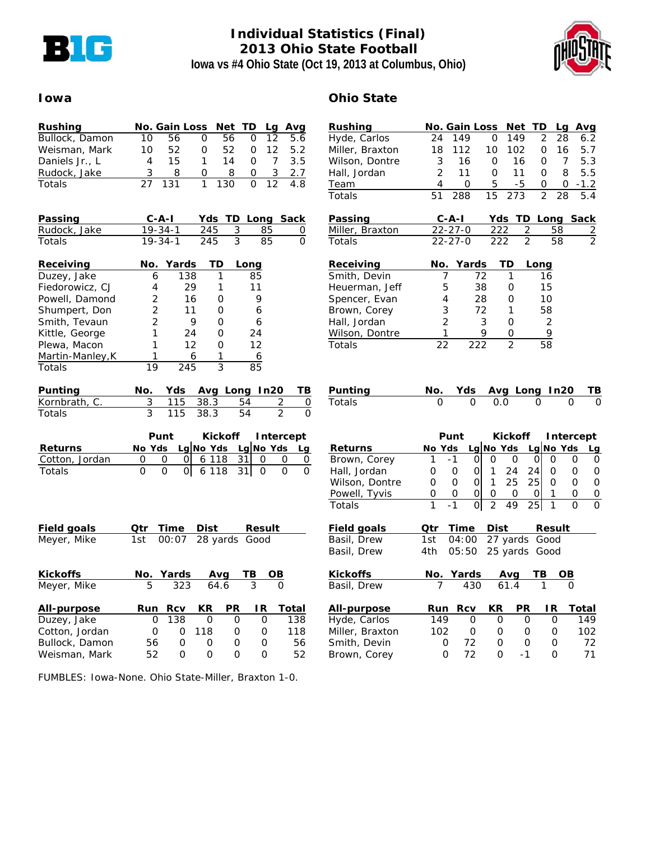

# **Individual Statistics (Final) 2013 Ohio State Football Iowa vs #4 Ohio State (Oct 19, 2013 at Columbus, Ohio)**



### **Iowa Ohio State**

| Rushing                          |                | No. Gain Loss                 |          | Net<br>TD.     | Lg             | Avg               |
|----------------------------------|----------------|-------------------------------|----------|----------------|----------------|-------------------|
| Bullock, Damon                   | 10             | 56                            | 0        | 56             | 12<br>0        | 5.6               |
| Weisman, Mark                    | 10             | 52                            | 0        | 52             | 0<br>12        | 5.2               |
| Daniels Jr., L                   | 4              | 15                            | 1        | 14             | 0<br>7         | 3.5               |
| Rudock, Jake                     | 3              | 8                             | 0        | 8              | 3<br>0         | 2.7               |
| Totals                           | 27             | 131                           | 1        | 130            | 12<br>0        | 4.8               |
|                                  |                |                               |          |                |                |                   |
|                                  |                |                               |          |                |                |                   |
| <b>Passing</b>                   |                | $C - A - I$                   |          | Yds TD Long    |                | Sack              |
| Rudock, Jake                     |                | $19 - 34 - 1$                 | 245      | 3              | 85             | 0                 |
| Totals                           |                | $19 - 34 - 1$                 | 245      | 3              | 85             | 0                 |
| <b>Receiving</b>                 |                | No. Yards                     | TD       | Long           |                |                   |
| Duzey, Jake                      | 6              | 138                           |          | 1              | 85             |                   |
| Fiedorowicz, CJ                  | 4              | 29                            |          | 1              | 11             |                   |
| Powell, Damond                   | 2              | 16                            |          | 0              | 9              |                   |
| Shumpert, Don                    | 2              | 11                            |          | 0              | 6              |                   |
| Smith, Tevaun                    | $\overline{2}$ |                               | 9        | Ο              | 6              |                   |
| Kittle, George                   | 1              | 24                            |          | 0              | 24             |                   |
| Plewa, Macon                     | 1              | 12                            |          | 0              | 12             |                   |
| Martin-Manley, K                 | 1              |                               | 6        | 1              | 6              |                   |
| Totals                           | 19             | 245                           |          | 3              | 85             |                   |
|                                  |                |                               |          |                |                |                   |
| <b>Punting</b>                   | No.            | Yds                           |          |                | Avg Long In20  | ΤВ                |
| Kornbrath, C.                    | 3              | 115                           | 38.3     | 54             | $\overline{2}$ | 0                 |
| Totals                           | 3              | 115                           | 38.3     | 54             | $\mathfrak{D}$ | 0                 |
|                                  |                | Punt                          |          | <b>Kickoff</b> |                |                   |
|                                  |                |                               |          |                |                | Intercept         |
| Returns                          |                | No Yds Lg No Yds Lg No Yds Lg |          |                |                |                   |
| Cotton, Jordan                   | O              | O<br>0                        |          | 611831         | 0              | $\mathsf{O}$<br>0 |
| Totals                           | Ο              | Ο<br>0l                       | 6 1 1 8  | 31             | 0              | 0<br>0            |
|                                  |                |                               |          |                |                |                   |
|                                  |                |                               |          |                |                |                   |
|                                  |                |                               |          |                |                |                   |
| <b>Field goals</b>               | Qtr            | <u>Time</u>                   |          | Dist Result    |                |                   |
| Meyer, Mike                      | 1st            | 00:07                         |          | 28 yards Good  |                |                   |
|                                  |                |                               |          |                |                |                   |
| <b>Kickoffs</b>                  |                | No. Yards                     | Avg      | TВ             |                |                   |
| Meyer, Mike                      | 5              | 323                           | 64.6     |                | 3              |                   |
|                                  |                |                               |          |                |                |                   |
|                                  |                |                               |          |                |                |                   |
| All-purpose                      | Run            | Rcv                           | ΚR       | PR             | IR.            | <u>Total</u>      |
| Duzey, Jake                      | 0              | 138                           | 0        | 0              | 0              | 138               |
| Cotton, Jordan<br>Bullock, Damon | 0<br>56        | 0<br>0                        | 118<br>0 | 0<br>0         | 0<br>0         | 118<br>56         |

| <u>Rushing</u>  |                | No. Gain Loss        |                |                |                | Net TD Lg Avg           |                |           |                                      |
|-----------------|----------------|----------------------|----------------|----------------|----------------|-------------------------|----------------|-----------|--------------------------------------|
| Hyde, Carlos    | 24             | 149                  |                | 0              | 149            |                         | 2              | 28        | 6.2                                  |
| Miller, Braxton | 18             | 112                  |                | 10             | 102            |                         | 0              | 16        | 5.7                                  |
| Wilson, Dontre  | 3              | 16                   |                | 0              | 16             |                         | 0              | 7         | 5.3                                  |
| Hall, Jordan    | $\overline{2}$ | 11                   |                | 0              | 11             |                         | 0              | 8         | 5.5                                  |
| Team            | 4              |                      | 0              | 5              | $-5$           |                         | 0              | 0         | $-1.2$                               |
| Totals          | 51             | 288                  |                | 15             | 273            |                         | 2              | 28        | 5.4                                  |
| <u>Passing</u>  |                | $C - A - I$          |                |                |                |                         |                |           | Yds TD Long Sack                     |
| Miller, Braxton |                | $22 - 27 - 0$        |                | 222            |                | $\overline{\mathbf{c}}$ | 58             |           | $\overline{2}$                       |
| Totals          |                | $22 - 27 - 0$        |                | 222            |                | $\overline{2}$          | 58             |           | $\overline{2}$                       |
| Receiving       |                | No. Yards            |                |                | TD             | Long                    |                |           |                                      |
| Smith, Devin    |                | 7                    | 72             |                | 1              |                         | 16             |           |                                      |
| Heuerman, Jeff  |                | 5                    | 38             |                | 0              |                         | 15             |           |                                      |
| Spencer, Evan   |                | 4                    | 28             |                | 0              |                         | 10             |           |                                      |
| Brown, Corey    |                | 3                    | 72             |                | 1              |                         | 58             |           |                                      |
| Hall, Jordan    |                | $\overline{2}$       |                | 3              | 0              |                         | $\overline{2}$ |           |                                      |
| Wilson, Dontre  |                | 1                    |                | 9              | 0              |                         | 9              |           |                                      |
| Totals          | 22             |                      | 222            |                | $\overline{2}$ |                         | 58             |           |                                      |
| <b>Punting</b>  | <u>No.</u>     |                      |                |                |                | Yds Avg Long In20       |                |           | TB                                   |
| Totals          | 0              |                      | 0              | 0.0            |                | 0                       |                | 0         | 0                                    |
|                 |                |                      |                |                |                |                         |                |           |                                      |
|                 |                | Punt                 |                |                | Kickoff        |                         |                |           | $\blacksquare$ Intercept             |
| <b>Returns</b>  |                |                      |                |                |                |                         |                |           | <u>No Yds Lg No Yds Lg No Yds Lg</u> |
| Brown, Corey    | 1              | $-1$                 | ΟI             | 0              | $\overline{O}$ | 0l                      | 0              | 0         | 0                                    |
| Hall, Jordan    | 0              | 0                    | 01             | $\mathbf{1}$   | 24             | 24                      | 0              | 0         | 0                                    |
| Wilson, Dontre  | 0              | O                    | 01             | 1              | 25             | 25I                     | O              | 0         | 0                                    |
| Powell, Tyvis   | ი              | O                    | $\overline{O}$ | 0              | 0              | $\overline{O}$          | 1              | O         | $\overline{0}$                       |
| Totals          | 1              | -1                   | Οl             | $\overline{2}$ | 49             | 25                      | 1              | O         | 0                                    |
| Field goals     | Qtr            | Time                 |                |                |                | Dist Result             |                |           |                                      |
| Basil, Drew     | 1st            | 04:00                |                |                |                | 27 yards Good           |                |           |                                      |
| Basil, Drew     | 4th -          | 05:50                |                |                |                | 25 yards Good           |                |           |                                      |
| Kickoffs        |                | <u>No. Yards Avg</u> |                |                |                | TВ                      |                | <u>ОВ</u> |                                      |
| Basil, Drew     |                |                      | 430            |                | 61.4           |                         | 1              |           |                                      |
| All-purpose     | Run            |                      | <b>Rcv</b>     | KR             |                | PR                      | IR.            |           | Total                                |
| Hyde, Carlos    | 149            |                      | 0              | 0              |                | 0                       | 0              |           | 149                                  |
| Miller, Braxton | 102            |                      | $\mathbf 0$    | 0              |                | 0                       | 0              |           | 102                                  |
| Smith, Devin    |                | 0                    | 72             | 0              |                | 0                       | 0              |           | 72                                   |
|                 |                |                      |                |                |                |                         |                |           |                                      |

Brown, Corey 0 72 0 -1 0 71

FUMBLES: Iowa-None. Ohio State-Miller, Braxton 1-0.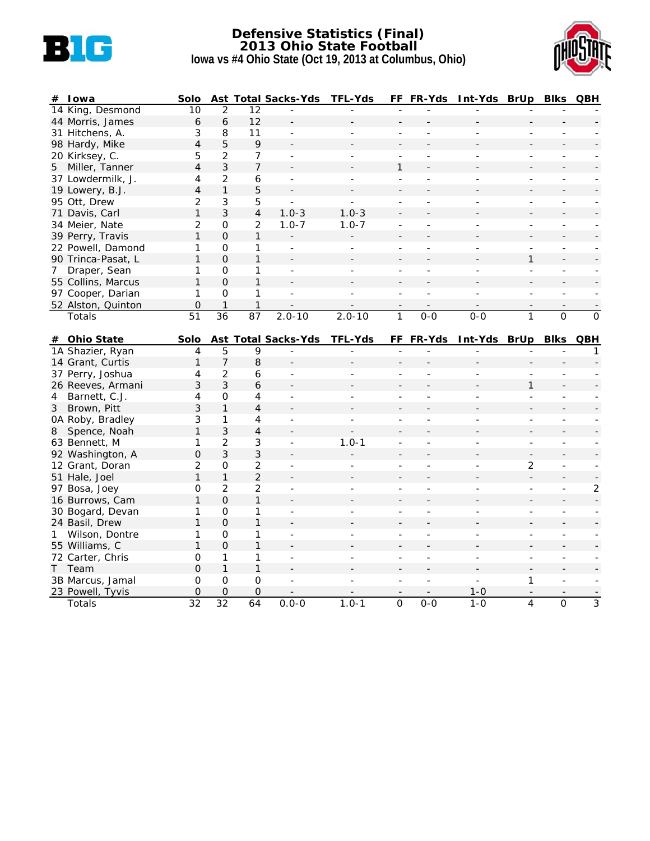

### **Defensive Statistics (Final) 2013 Ohio State Football Iowa vs #4 Ohio State (Oct 19, 2013 at Columbus, Ohio)**



| #              | <b>I</b> owa               | Solo                           |                     |                      | <b>Ast Total Sacks-Yds</b> | <b>TFL-Yds</b>           |                          | FF FR-Yds      | Int-Yds BrUp       |                               | <b>Blks</b>              | QBH                      |
|----------------|----------------------------|--------------------------------|---------------------|----------------------|----------------------------|--------------------------|--------------------------|----------------|--------------------|-------------------------------|--------------------------|--------------------------|
|                | 14 King, Desmond           | 10                             | 2                   | 12                   |                            |                          |                          |                |                    |                               |                          |                          |
|                | 44 Morris, James           | 6                              | 6                   | 12                   |                            |                          |                          |                |                    |                               |                          |                          |
|                | 31 Hitchens, A.            | 3                              | 8                   | 11                   | $\overline{a}$             |                          | $\overline{a}$           |                |                    | $\overline{a}$                |                          |                          |
|                | 98 Hardy, Mike             | $\overline{4}$                 | 5                   | 9                    |                            |                          |                          |                |                    |                               |                          |                          |
|                | 20 Kirksey, C.             | 5                              | $\overline{2}$      | 7                    | $\blacksquare$             |                          |                          |                |                    | $\overline{a}$                | $\overline{a}$           |                          |
|                | 5 Miller, Tanner           | 4                              | 3                   | $\overline{7}$       |                            |                          | $\mathbf{1}$             |                |                    |                               |                          |                          |
|                | 37 Lowdermilk, J.          | 4                              | $\overline{2}$      | 6                    | $\overline{\phantom{a}}$   |                          |                          |                |                    | $\overline{a}$                |                          |                          |
|                | 19 Lowery, B.J.            | $\overline{4}$                 | $\mathbf{1}$        | 5                    |                            |                          |                          |                |                    |                               |                          |                          |
|                | 95 Ott, Drew               | $\overline{c}$                 | $\mathfrak{Z}$      | 5                    |                            |                          |                          |                |                    |                               |                          |                          |
|                | 71 Davis, Carl             | 1                              | $\mathfrak{Z}$      | 4                    | $1.0 - 3$                  | $1.0 - 3$                |                          |                |                    |                               |                          |                          |
|                | 34 Meier, Nate             | $\overline{c}$                 | $\mathsf{O}\xspace$ | 2                    | $1.0 - 7$                  | $1.0 - 7$                | L,                       |                |                    | $\blacksquare$                | ٠                        |                          |
|                | 39 Perry, Travis           | $\mathbf{1}$                   | $\overline{0}$      | $\mathbf{1}$         |                            |                          |                          |                |                    |                               |                          |                          |
|                | 22 Powell, Damond          | 1                              | $\Omega$            | 1                    | $\overline{\phantom{m}}$   | $\frac{1}{2}$            | ÷                        |                |                    | $\frac{1}{2}$                 | $\overline{\phantom{a}}$ |                          |
|                | 90 Trinca-Pasat, L         | $\mathbf{1}$                   | $\Omega$            | 1                    |                            |                          |                          |                |                    | 1                             |                          |                          |
| 7 <sup>7</sup> | Draper, Sean               | 1                              | $\mathsf{O}\xspace$ | 1                    | $\overline{a}$             |                          |                          |                |                    | $\overline{a}$                |                          |                          |
|                | 55 Collins, Marcus         | 1                              | $\Omega$            | 1                    |                            |                          |                          |                |                    |                               |                          |                          |
|                | 97 Cooper, Darian          | 1                              | $\mathsf{O}\xspace$ | 1                    | $\overline{a}$             | $\overline{a}$           |                          |                |                    | $\overline{a}$                |                          |                          |
|                | 52 Alston, Quinton         | $\mathbf 0$                    | $\mathbf{1}$        | $\mathbf{1}$         |                            |                          |                          |                |                    |                               |                          |                          |
|                | Totals                     | $\overline{51}$                | $\overline{36}$     | $\overline{87}$      | $2.0 - 10$                 | $2.0 - 10$               | $\mathbf{1}$             | $0 - 0$        | $0 - 0$            | $\mathbf{1}$                  | $\overline{0}$           | $\mathsf{O}$             |
|                | # Ohio State               | Solo                           |                     |                      | Ast Total Sacks-Yds        | <b>TFL-Yds</b>           |                          | FF FR-Yds      | Int-Yds BrUp       |                               | <b>Blks</b>              | QBH                      |
|                | 1A Shazier, Ryan           | 4                              | 5                   | 9                    |                            |                          |                          |                |                    |                               |                          | 1                        |
|                | 14 Grant, Curtis           | $\mathbf{1}$                   | $\overline{7}$      | 8                    |                            |                          |                          |                |                    |                               |                          |                          |
|                | 37 Perry, Joshua           | 4                              | $\overline{2}$      | 6                    |                            |                          |                          |                |                    |                               |                          |                          |
|                | 26 Reeves, Armani          | 3                              | 3                   | 6                    |                            |                          |                          |                |                    | 1                             |                          |                          |
| 4              | Barnett, C.J.              | 4                              | 0                   |                      |                            |                          |                          |                |                    |                               |                          |                          |
| 3 <sup>7</sup> |                            |                                |                     | 4                    | $\blacksquare$             | $\overline{a}$           | L,                       |                |                    | $\overline{a}$                |                          |                          |
|                | Brown, Pitt                | 3                              | $\mathbf{1}$        | $\overline{4}$       |                            |                          | L,                       |                |                    |                               |                          |                          |
|                | 0A Roby, Bradley           | 3                              | 1                   | 4                    | $\blacksquare$             | $\equiv$                 | $\overline{\phantom{a}}$ | $\overline{a}$ | ÷,                 | ÷,                            | $\overline{a}$           |                          |
| 8              | Spence, Noah               | 1                              | 3                   | 4                    |                            |                          |                          |                |                    |                               |                          |                          |
|                | 63 Bennett, M              | 1                              | $\overline{2}$      | 3                    | $\overline{a}$             | $1.0 - 1$                | $\overline{a}$           |                |                    | L.                            |                          |                          |
|                | 92 Washington, A           | 0                              | 3                   | 3                    |                            |                          |                          |                |                    |                               |                          |                          |
|                | 12 Grant, Doran            | $\overline{c}$                 | $\mathsf{O}\xspace$ | $\overline{c}$       |                            | ÷                        | L,                       |                |                    | 2                             |                          |                          |
|                | 51 Hale, Joel              | $\mathbf{1}$                   | $\mathbf{1}$        | $\overline{2}$       |                            |                          |                          |                |                    |                               |                          | $\overline{\phantom{a}}$ |
|                | 97 Bosa, Joey              | 0                              | $\overline{2}$      | $\overline{2}$       | $\blacksquare$             | $\overline{\phantom{a}}$ | $\overline{\phantom{a}}$ | ٠              | ٠                  | $\frac{1}{2}$                 | $\overline{\phantom{a}}$ | $\overline{2}$           |
|                | 16 Burrows, Cam            | $\mathbf{1}$                   | $\Omega$            | 1                    |                            |                          |                          |                |                    |                               |                          |                          |
|                | 30 Bogard, Devan           | 1                              | $\overline{0}$      | 1                    |                            |                          |                          |                |                    |                               |                          |                          |
|                | 24 Basil, Drew             | 1                              | $\Omega$            | 1                    |                            |                          |                          |                |                    |                               |                          |                          |
| 1              | Wilson, Dontre             | 1                              | 0                   | 1                    |                            |                          |                          |                |                    |                               |                          |                          |
|                | 55 Williams, C             | 1                              | $\mathbf 0$         | 1                    |                            |                          |                          |                |                    |                               |                          |                          |
|                | 72 Carter, Chris           | 0                              | 1                   | 1                    | $\blacksquare$             | ÷.                       | $\overline{a}$           | ÷,             | ÷,                 | $\blacksquare$                | $\overline{a}$           |                          |
| T.             | Team                       | $\mathbf 0$                    | $\mathbf{1}$        | 1                    |                            |                          |                          |                |                    |                               |                          |                          |
|                | 3B Marcus, Jamal           | 0                              | $\Omega$            | 0                    |                            |                          |                          |                |                    | 1                             |                          |                          |
|                | 23 Powell, Tyvis<br>Totals | $\mathbf 0$<br>$\overline{32}$ | $\mathbf{O}$<br>32  | $\overline{0}$<br>64 | $0.0 - 0$                  | $1.0 - 1$                | $\Omega$                 | $0 - 0$        | $1 - 0$<br>$1 - 0$ | $\overline{\phantom{a}}$<br>4 | $\Omega$                 | 3                        |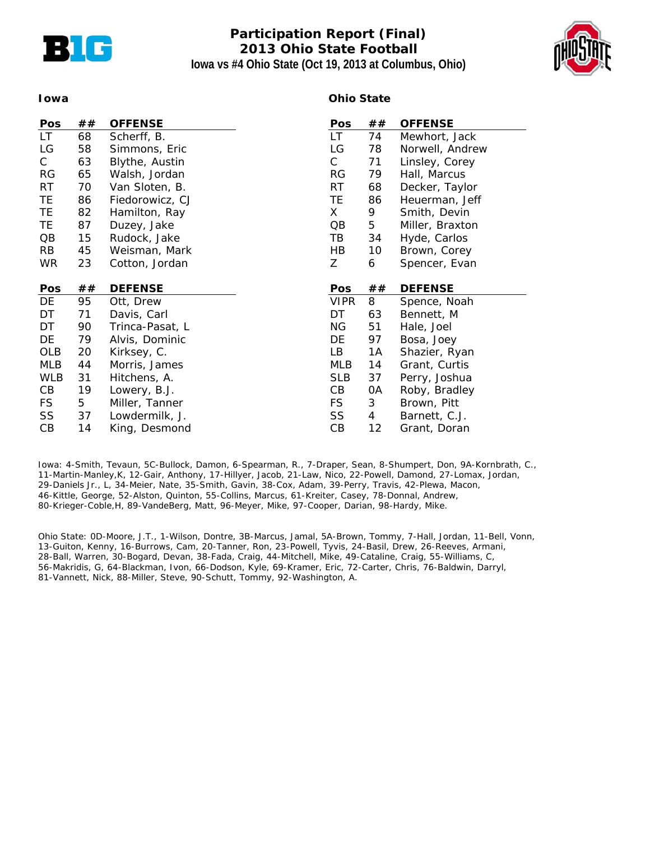

# **Participation Report (Final) 2013 Ohio State Football Iowa vs #4 Ohio State (Oct 19, 2013 at Columbus, Ohio)**



#### **Iowa**

### **Ohio State**

| Pos        | ## | <b>OFFENSE</b>  | Pos          | ## | <b>OFFENSE</b>  |
|------------|----|-----------------|--------------|----|-----------------|
| LT.        | 68 | Scherff, B.     | LT.          | 74 | Mewhort, Jack   |
| LG         | 58 | Simmons, Eric   | LG           | 78 | Norwell, Andrew |
| C          | 63 | Blythe, Austin  | $\mathsf{C}$ | 71 | Linsley, Corey  |
| RG         | 65 | Walsh, Jordan   | <b>RG</b>    | 79 | Hall, Marcus    |
| <b>RT</b>  | 70 | Van Sloten, B.  | <b>RT</b>    | 68 | Decker, Taylor  |
| TE         | 86 | Fiedorowicz, CJ | TE           | 86 | Heuerman, Jeff  |
| TE         | 82 | Hamilton, Ray   | X.           | 9  | Smith, Devin    |
| TE         | 87 | Duzey, Jake     | QB           | 5  | Miller, Braxton |
| QB         | 15 | Rudock, Jake    | TВ           | 34 | Hyde, Carlos    |
| <b>RB</b>  | 45 | Weisman, Mark   | HB           | 10 | Brown, Corey    |
| <b>WR</b>  | 23 | Cotton, Jordan  | Ζ            | 6  | Spencer, Evan   |
|            |    |                 |              |    |                 |
| Pos        | ## | <b>DEFENSE</b>  | Pos          | ## | <b>DEFENSE</b>  |
| DE         | 95 | Ott, Drew       | <b>VIPR</b>  | 8  | Spence, Noah    |
| DT         | 71 | Davis, Carl     | DT           | 63 | Bennett, M      |
| DT         | 90 | Trinca-Pasat, L | ΝG           | 51 | Hale, Joel      |
| DE         | 79 | Alvis, Dominic  | DE           | 97 | Bosa, Joey      |
| OLB        | 20 | Kirksey, C.     | LB           | 1A | Shazier, Ryan   |
| <b>MLB</b> | 44 | Morris, James   | MLB          | 14 | Grant, Curtis   |
| <b>WLB</b> |    |                 |              |    |                 |
|            | 31 | Hitchens, A.    | <b>SLB</b>   | 37 | Perry, Joshua   |
| CВ         | 19 | Lowery, B.J.    | CB           | 0A | Roby, Bradley   |
| FS.        | 5  | Miller, Tanner  | <b>FS</b>    | 3  | Brown, Pitt     |
| SS         | 37 | Lowdermilk, J.  | SS           | 4  | Barnett, C.J.   |

Iowa: 4-Smith, Tevaun, 5C-Bullock, Damon, 6-Spearman, R., 7-Draper, Sean, 8-Shumpert, Don, 9A-Kornbrath, C., 11-Martin-Manley,K, 12-Gair, Anthony, 17-Hillyer, Jacob, 21-Law, Nico, 22-Powell, Damond, 27-Lomax, Jordan, 29-Daniels Jr., L, 34-Meier, Nate, 35-Smith, Gavin, 38-Cox, Adam, 39-Perry, Travis, 42-Plewa, Macon, 46-Kittle, George, 52-Alston, Quinton, 55-Collins, Marcus, 61-Kreiter, Casey, 78-Donnal, Andrew, 80-Krieger-Coble,H, 89-VandeBerg, Matt, 96-Meyer, Mike, 97-Cooper, Darian, 98-Hardy, Mike.

Ohio State: 0D-Moore, J.T., 1-Wilson, Dontre, 3B-Marcus, Jamal, 5A-Brown, Tommy, 7-Hall, Jordan, 11-Bell, Vonn, 13-Guiton, Kenny, 16-Burrows, Cam, 20-Tanner, Ron, 23-Powell, Tyvis, 24-Basil, Drew, 26-Reeves, Armani, 28-Ball, Warren, 30-Bogard, Devan, 38-Fada, Craig, 44-Mitchell, Mike, 49-Cataline, Craig, 55-Williams, C, 56-Makridis, G, 64-Blackman, Ivon, 66-Dodson, Kyle, 69-Kramer, Eric, 72-Carter, Chris, 76-Baldwin, Darryl, 81-Vannett, Nick, 88-Miller, Steve, 90-Schutt, Tommy, 92-Washington, A.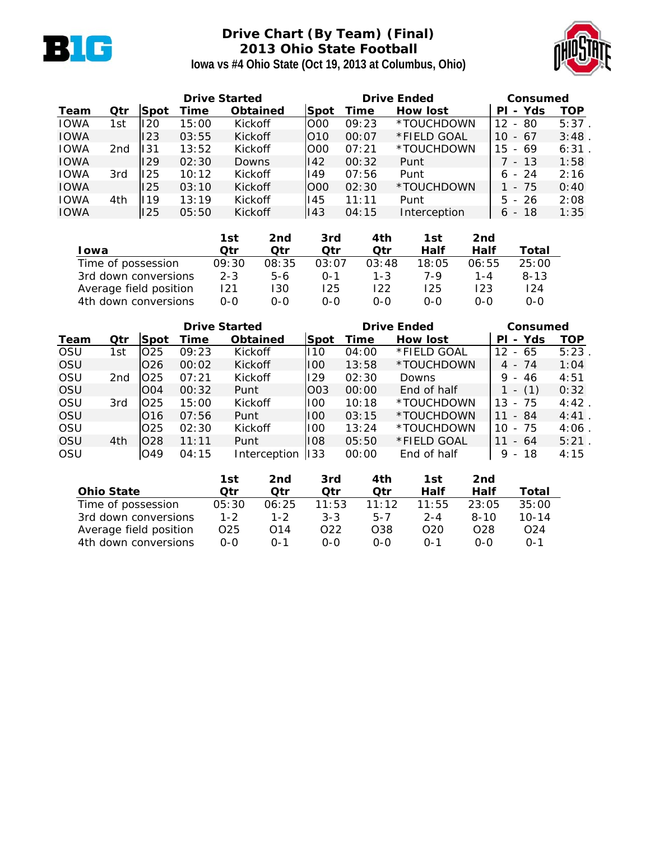

# **Drive Chart (By Team) (Final) 2013 Ohio State Football**



**Iowa vs #4 Ohio State (Oct 19, 2013 at Columbus, Ohio)**

|             | <b>Drive Started</b> |      |       |                 |            |       | <b>Drive Ended</b> |                                      |          |  |
|-------------|----------------------|------|-------|-----------------|------------|-------|--------------------|--------------------------------------|----------|--|
| Team        | Qtr                  | Spot | Time  | <b>Obtained</b> | Spot       | Time  | How lost           | - Yds<br>PI                          | TOP      |  |
| <b>IOWA</b> | 1st                  | 120  | 15:00 | Kickoff         | <b>OOO</b> | 09:23 | *TOUCHDOWN         | - 80<br>12                           | $5:37$ . |  |
| <b>IOWA</b> |                      | 123  | 03:55 | Kickoff         | 010        | 00:07 | *FIELD GOAL        | $-67$<br>10                          | 3:48     |  |
| <b>IOWA</b> | 2nd                  | 131  | 13:52 | Kickoff         | 000        | 07:21 | *TOUCHDOWN         | - 69<br>15                           | 6:31     |  |
| <b>IOWA</b> |                      | 129  | 02:30 | Downs           | 142        | 00:32 | Punt               | 7 - 13                               | 1:58     |  |
| <b>IOWA</b> | 3rd                  | 125  | 10:12 | Kickoff         | 149        | 07:56 | Punt               | $6 - 24$                             | 2:16     |  |
| <b>IOWA</b> |                      | 125  | 03:10 | Kickoff         | 000        | 02:30 | *TOUCHDOWN         | - 75                                 | 0:40     |  |
| <b>IOWA</b> | 4th                  | 119  | 13:19 | Kickoff         | 145        | 11:11 | Punt               | $5 - 26$                             | 2:08     |  |
| <b>IOWA</b> |                      | 125  | 05:50 | Kickoff         | 143        | 04:15 | Interception       | -18<br>6<br>$\overline{\phantom{a}}$ | 1:35     |  |

|                        | 1st     | 2nd   | 3rd     | 4th     | 1st   | 2nd   |          |
|------------------------|---------|-------|---------|---------|-------|-------|----------|
| <b>I</b> owa           | Otr     | Qtr   | Otr     | Otr     | Half  | Half  | Total    |
| Time of possession     | 09:30   | 08:35 | 03:07   | 03:48   | 18:05 | 06:55 | 25:00    |
| 3rd down conversions   | $2 - 3$ | $5-6$ | $0 - 1$ | $1 - 3$ | 7-9   | 1 - 4 | $8 - 13$ |
| Average field position | 121     | 130   | 125     | 122     | 125.  | 123   | 124      |
| 4th down conversions   | 0-0     | റ-റ   | ი-ი     | 0-0     | 0-0   | 0-0   | 0-0      |

|             |                 |                 | <b>Drive Started</b> |                 |                 | <b>Drive Ended</b> | Consumed        |                                      |      |
|-------------|-----------------|-----------------|----------------------|-----------------|-----------------|--------------------|-----------------|--------------------------------------|------|
| <b>Team</b> | Qtr             | <b>Spot</b>     | Time                 | <b>Obtained</b> | Spot            | Time               | <b>How lost</b> | Yds<br>PL<br>$\blacksquare$          | TOP  |
| <b>OSU</b>  | 1st             | O <sub>25</sub> | 09:23                | Kickoff         | 110             | 04:00              | *FIELD GOAL     | - 65<br>12                           | 5:23 |
| OSU         |                 | O26             | 00:02                | Kickoff         | 100             | 13:58              | *TOUCHDOWN      | $4 - 74$                             | 1:04 |
| <b>OSU</b>  | 2 <sub>nd</sub> | IO25            | 07:21                | Kickoff         | 129             | 02:30              | Downs           | $9 - 46$                             | 4:51 |
| OSU         |                 | <b>OO4</b>      | 00:32                | Punt            | O <sub>03</sub> | 00:00              | End of half     | (1)<br>$\overline{\phantom{a}}$      | 0:32 |
| <b>OSU</b>  | 3rd             | lO25            | 15:00                | Kickoff         | 100             | 10:18              | *TOUCHDOWN      | - 75<br>13                           | 4:42 |
| <b>OSU</b>  |                 | 016             | 07:56                | Punt            | 100             | 03:15              | *TOUCHDOWN      | - 84<br>11                           | 4:41 |
| <b>OSU</b>  |                 | O <sub>25</sub> | 02:30                | Kickoff         | 100             | 13:24              | *TOUCHDOWN      | - 75<br>10                           | 4:06 |
| OSU         | 4th             | O28             | 11:11                | Punt            | 108             | 05:50              | *FIELD GOAL     | $-64$<br>11                          | 5:21 |
| OSU         |                 | O49             | 04:15                | Interception    | 133             | 00:00              | End of half     | -18<br>9<br>$\overline{\phantom{a}}$ | 4:15 |

|                        | 1st     | 2nd          | 3rd             | 4th     | 1st             | 2nd             |                 |
|------------------------|---------|--------------|-----------------|---------|-----------------|-----------------|-----------------|
| <b>Ohio State</b>      | Otr     | Otr          | Otr             | Otr     | Half            | Half            | Total           |
| Time of possession     | 05:30   | 06:25        | 11:53           | 11:12   | 11:55           | 23:05           | 35:00           |
| 3rd down conversions   | $1 - 2$ | $1 - 2$      | $3 - 3$         | $5 - 7$ | $2 - 4$         | $8 - 10$        | $10 - 14$       |
| Average field position | O25     | O14          | O <sub>22</sub> | O38     | O <sub>20</sub> | O <sub>28</sub> | O <sub>24</sub> |
| 4th down conversions   | $0 - 0$ | $\Omega - 1$ | $0 - 0$         | $0 - 0$ | $0 - 1$         | ი-ი             | $0 - 1$         |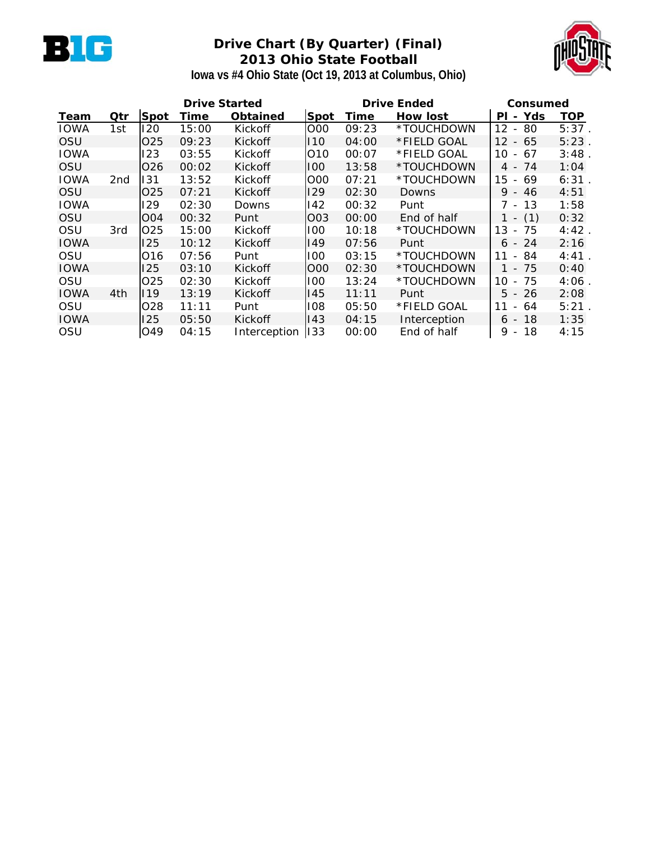

# **Drive Chart (By Quarter) (Final) 2013 Ohio State Football**



**Iowa vs #4 Ohio State (Oct 19, 2013 at Columbus, Ohio)**

| <b>Drive Started</b> |     |                  |       |                 |            | <b>Drive Ended</b> | Consumed     |                                      |      |
|----------------------|-----|------------------|-------|-----------------|------------|--------------------|--------------|--------------------------------------|------|
| Team                 | Qtr | <b>Spot</b>      | Time  | <b>Obtained</b> | Spot       | Time               | How lost     | Yds<br>ΡI<br>$\blacksquare$          | TOP  |
| <b>IOWA</b>          | 1st | 120              | 15:00 | Kickoff         | <b>OOO</b> | 09:23              | *TOUCHDOWN   | 12<br>80<br>$\overline{\phantom{a}}$ | 5:37 |
| OSU                  |     | O <sub>25</sub>  | 09:23 | Kickoff         | 110        | 04:00              | *FIELD GOAL  | $12 \overline{ }$<br>- 65            | 5:23 |
| <b>IOWA</b>          |     | 123              | 03:55 | Kickoff         | 010        | 00:07              | *FIELD GOAL  | 10<br>67<br>$\sim$                   | 3:48 |
| OSU                  |     | O <sub>26</sub>  | 00:02 | Kickoff         | 100        | 13:58              | *TOUCHDOWN   | $4 - 74$                             | 1:04 |
| <b>IOWA</b>          | 2nd | 131              | 13:52 | Kickoff         | O00        | 07:21              | *TOUCHDOWN   | 15<br>- 69                           | 6:31 |
| OSU                  |     | O <sub>25</sub>  | 07:21 | Kickoff         | 129        | 02:30              | Downs        | $9 - 46$                             | 4:51 |
| <b>IOWA</b>          |     | 129              | 02:30 | Downs           | 142        | 00:32              | Punt         | 7 -<br>13                            | 1:58 |
| OSU                  |     | O <sub>0</sub> 4 | 00:32 | Punt            | O03        | 00:00              | End of half  | (1)                                  | 0:32 |
| OSU                  | 3rd | O <sub>25</sub>  | 15:00 | Kickoff         | 100        | 10:18              | *TOUCHDOWN   | 13<br>75<br>$\overline{\phantom{a}}$ | 4:42 |
| <b>IOWA</b>          |     | 125              | 10:12 | Kickoff         | 149        | 07:56              | Punt         | $6 - 24$                             | 2:16 |
| OSU                  |     | 016              | 07:56 | Punt            | 100        | 03:15              | *TOUCHDOWN   | 84<br>11<br>$\overline{\phantom{0}}$ | 4:41 |
| <b>IOWA</b>          |     | 125              | 03:10 | Kickoff         | O00        | 02:30              | *TOUCHDOWN   | 75<br>$\sim$                         | 0:40 |
| OSU                  |     | O <sub>25</sub>  | 02:30 | Kickoff         | 100        | 13:24              | *TOUCHDOWN   | 75<br>10<br>$\overline{\phantom{a}}$ | 4:06 |
| <b>IOWA</b>          | 4th | 119              | 13:19 | Kickoff         | 145        | 11:11              | Punt         | $5 - 26$                             | 2:08 |
| OSU                  |     | O <sub>28</sub>  | 11:11 | Punt            | 108        | 05:50              | *FIELD GOAL  | 11<br>- 64                           | 5:21 |
| <b>IOWA</b>          |     | 125              | 05:50 | Kickoff         | 143        | 04:15              | Interception | 18<br>6 -                            | 1:35 |
| OSU                  |     | O49              | 04:15 | Interception    | 133        | 00:00              | End of half  | 9<br>18<br>$\overline{\phantom{a}}$  | 4:15 |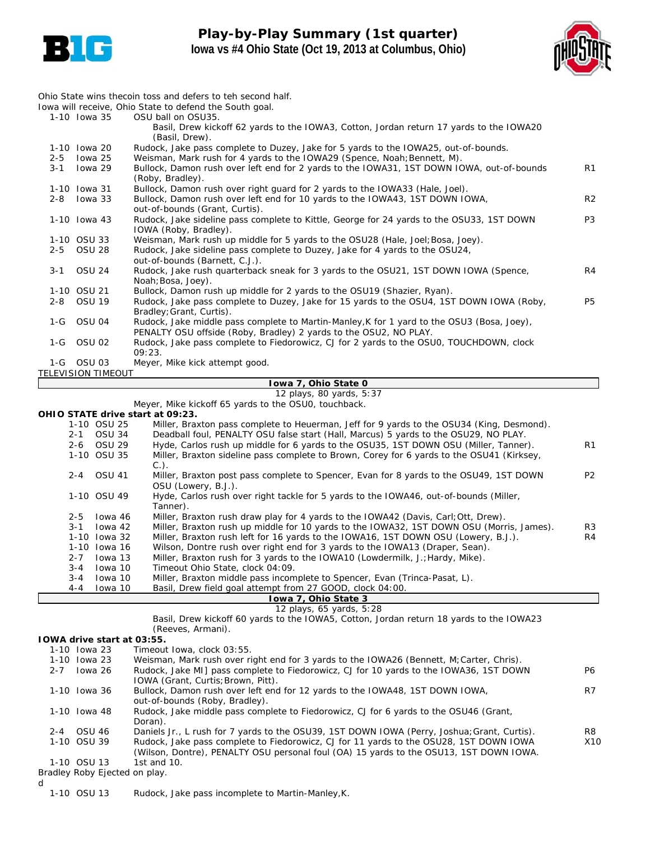

### **Play-by-Play Summary (1st quarter) Iowa vs #4 Ohio State (Oct 19, 2013 at Columbus, Ohio)**



*Ohio State wins thecoin toss and defers to teh second half. Iowa will receive, Ohio State to defend the South goal.* 1-10 Iowa 35 OSU ball on OSU35. Basil, Drew kickoff 62 yards to the IOWA3, Cotton, Jordan return 17 yards to the IOWA20 (Basil, Drew). 1-10 Iowa 20 Rudock, Jake pass complete to Duzey, Jake for 5 yards to the IOWA25, out-of-bounds. 2-5 Iowa 25 Weisman, Mark rush for 4 yards to the IOWA29 (Spence, Noah; Bennett, M).<br>2-1 Iowa 29 Bullock, Damon rush over left end for 2 yards to the IOWA31, 1ST DOWN IO 3-1 Iowa 29 Bullock, Damon rush over left end for 2 yards to the IOWA31, 1ST DOWN IOWA, out-of-bounds R1 (Roby, Bradley). 1-10 Iowa 31 Bullock, Damon rush over right guard for 2 yards to the IOWA33 (Hale, Joel). 2-8 Iowa 33 Bullock, Damon rush over left end for 10 yards to the IOWA43, 1ST DOWN IOWA, R2 out-of-bounds (Grant, Curtis). 1-10 Iowa 43 Rudock, Jake sideline pass complete to Kittle, George for 24 yards to the OSU33, 1ST DOWN P3 IOWA (Roby, Bradley). 1-10 OSU 33 Weisman, Mark rush up middle for 5 yards to the OSU28 (Hale, Joel; Bosa, Joey).<br>2-5 OSU 28 Rudock, Jake sideline pass complete to Duzey, Jake for 4 yards to the OSU24. 2-5 OSU 28 Rudock, Jake sideline pass complete to Duzey, Jake for 4 yards to the OSU24, out-of-bounds (Barnett, C.J.). 3-1 OSU 24 Rudock, Jake rush quarterback sneak for 3 yards to the OSU21, 1ST DOWN IOWA (Spence, R4 Noah;Bosa, Joey). 1-10 OSU 21 Bullock, Damon rush up middle for 2 yards to the OSU19 (Shazier, Ryan). 2-8 OSU 19 Rudock, Jake pass complete to Duzey, Jake for 15 yards to the OSU4, 1ST DOWN IOWA (Roby, P5 Bradley;Grant, Curtis). 1-G OSU 04 Rudock, Jake middle pass complete to Martin-Manley,K for 1 yard to the OSU3 (Bosa, Joey),

PENALTY OSU offside (Roby, Bradley) 2 yards to the OSU2, NO PLAY. 1-G OSU 02 Rudock, Jake pass complete to Fiedorowicz, CJ for 2 yards to the OSU0, TOUCHDOWN, clock

09:23. 1-G OSU 03 Meyer, Mike kick attempt good.

*TELEVISION TIMEOUT*

#### **Iowa 7, Ohio State 0**

*12 plays, 80 yards, 5:37* Meyer, Mike kickoff 65 yards to the OSU0, touchback.

**OHIO STATE drive start at 09:23.**

|         | OHIO STATE drive start at 09:23. |                                                                                           |                |
|---------|----------------------------------|-------------------------------------------------------------------------------------------|----------------|
|         | 1-10 OSU 25                      | Miller, Braxton pass complete to Heuerman, Jeff for 9 yards to the OSU34 (King, Desmond). |                |
| 2-1     | <b>OSU 34</b>                    | Deadball foul, PENALTY OSU false start (Hall, Marcus) 5 yards to the OSU29, NO PLAY.      |                |
| 2-6     | OSU 29                           | Hyde, Carlos rush up middle for 6 yards to the OSU35, 1ST DOWN OSU (Miller, Tanner).      | R <sub>1</sub> |
|         | 1-10 OSU 35                      | Miller, Braxton sideline pass complete to Brown, Corey for 6 yards to the OSU41 (Kirksey, |                |
|         |                                  | $C.$ ).                                                                                   |                |
| 2-4     | OSU 41                           | Miller, Braxton post pass complete to Spencer, Evan for 8 yards to the OSU49, 1ST DOWN    | P <sub>2</sub> |
|         |                                  | OSU (Lowery, B.J.).                                                                       |                |
|         | 1-10 OSU 49                      | Hyde, Carlos rush over right tackle for 5 yards to the IOWA46, out-of-bounds (Miller,     |                |
|         |                                  | Tanner).                                                                                  |                |
| $2 - 5$ | lowa 46                          | Miller, Braxton rush draw play for 4 yards to the IOWA42 (Davis, Carl; Ott, Drew).        |                |
| 3-1     | Iowa 42                          | Miller, Braxton rush up middle for 10 yards to the IOWA32, 1ST DOWN OSU (Morris, James).  | R <sub>3</sub> |
|         | 1-10 Iowa 32                     | Miller, Braxton rush left for 16 yards to the IOWA16, 1ST DOWN OSU (Lowery, B.J.).        | R <sub>4</sub> |
|         | 1-10 lowa 16                     | Wilson, Dontre rush over right end for 3 yards to the IOWA13 (Draper, Sean).              |                |
| $2 - 7$ | Iowa 13                          | Miller, Braxton rush for 3 yards to the IOWA10 (Lowdermilk, J.; Hardy, Mike).             |                |
| $3 - 4$ | Iowa 10                          | Timeout Ohio State, clock 04:09.                                                          |                |
| 3-4     | Iowa 10                          | Miller, Braxton middle pass incomplete to Spencer, Evan (Trinca-Pasat, L).                |                |
| 4-4     | lowa 10                          | Basil, Drew field goal attempt from 27 GOOD, clock 04:00.                                 |                |
|         |                                  |                                                                                           |                |

#### **Iowa 7, Ohio State 3** *12 plays, 65 yards, 5:28*

Basil, Drew kickoff 60 yards to the IOWA5, Cotton, Jordan return 18 yards to the IOWA23 (Reeves, Armani).

#### **IOWA drive start at 03:55.**

|         | TOWA drive start at 03:55.    |                                                                                                                                                                                  |                 |
|---------|-------------------------------|----------------------------------------------------------------------------------------------------------------------------------------------------------------------------------|-----------------|
|         | 1-10 Iowa 23                  | Timeout Iowa, clock 03:55.                                                                                                                                                       |                 |
|         | 1-10 Iowa 23                  | Weisman, Mark rush over right end for 3 yards to the IOWA26 (Bennett, M; Carter, Chris).                                                                                         |                 |
| $2 - 7$ | lowa 26                       | Rudock, Jake MI] pass complete to Fiedorowicz, CJ for 10 yards to the IOWA36, 1ST DOWN<br>IOWA (Grant, Curtis; Brown, Pitt).                                                     | P6.             |
|         | 1-10 Iowa 36                  | Bullock, Damon rush over left end for 12 yards to the IOWA48, 1ST DOWN IOWA,<br>out-of-bounds (Roby, Bradley).                                                                   | R7              |
|         | 1-10 Iowa 48                  | Rudock, Jake middle pass complete to Fiedorowicz, CJ for 6 yards to the OSU46 (Grant,<br>Doran).                                                                                 |                 |
| $2 - 4$ | OSU 46                        | Daniels Jr., L rush for 7 yards to the OSU39, 1ST DOWN IOWA (Perry, Joshua; Grant, Curtis).                                                                                      | R8.             |
|         | 1-10 OSU 39                   | Rudock, Jake pass complete to Fiedorowicz, CJ for 11 yards to the OSU28, 1ST DOWN IOWA<br>(Wilson, Dontre), PENALTY OSU personal foul (OA) 15 yards to the OSU13, 1ST DOWN IOWA. | X <sub>10</sub> |
|         | 1-10 OSU 13                   | 1st and $10$ .                                                                                                                                                                   |                 |
|         | Bradley Roby Ejected on play. |                                                                                                                                                                                  |                 |

*d*

1-10 OSU 13 Rudock, Jake pass incomplete to Martin-Manley,K.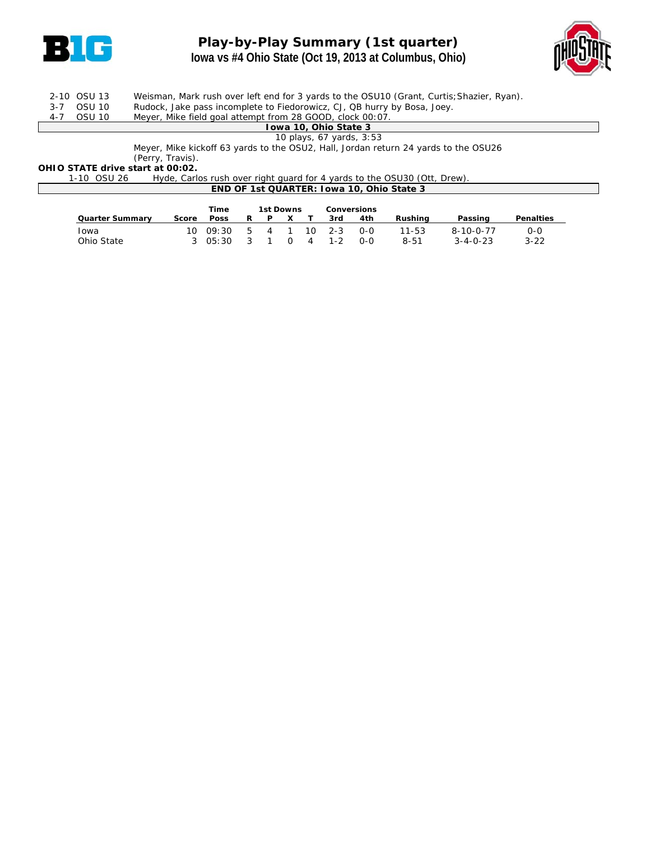

# **Play-by-Play Summary (1st quarter) Iowa vs #4 Ohio State (Oct 19, 2013 at Columbus, Ohio)**



|  | 2-10 OSU 13 | Weisman, Mark rush over left end for 3 yards to the OSU10 (Grant, Curtis; Shazier, Ryan). |
|--|-------------|-------------------------------------------------------------------------------------------|
|  | 3-7 OSU 10  | Rudock, Jake pass incomplete to Fiedorowicz, CJ, QB hurry by Bosa, Joey.                  |
|  | 4-7 OSU 10  | Meyer, Mike field goal attempt from 28 GOOD, clock 00:07.                                 |
|  |             | Towa 10, Ohio State 3                                                                     |
|  |             | 10 plays, 67 yards, 3:53                                                                  |
|  |             | Meyer, Mike kickoff 63 yards to the OSU2, Hall, Jordan return 24 yards to the OSU26       |

Meyer, Mike kickoff 63 yards to the OSU2, Hall, Jordan return 24 yards to the OSU26

(Perry, Travis). **OHIO STATE drive start at 00:02.**

1-10 OSU 26 Hyde, Carlos rush over right guard for 4 yards to the OSU30 (Ott, Drew). **END OF 1st QUARTER: Iowa 10, Ohio State 3**

|                        |       | Time             |      | 1st Downs |          |   |                  | <b>Conversions</b> |           |                   |           |
|------------------------|-------|------------------|------|-----------|----------|---|------------------|--------------------|-----------|-------------------|-----------|
| <b>Quarter Summary</b> | Score | <b>Poss</b>      | R    | P         |          |   | 3rd              | 4th                | Rushina   | Passing           | Penalties |
| Iowa                   |       | $10 \quad 09:30$ |      | 541       |          |   | $10 \quad 2 - 3$ | $O-O$              | $11 - 53$ | $8 - 10 - 0 - 77$ | $O-O$     |
| Ohio State             |       | 30.65:30         | ્ર ર |           | $\Omega$ | 4 | $1 - 2$          | $O-O$              | $8 - 51$  | $3 - 4 - 0 - 23$  | $3 - 22$  |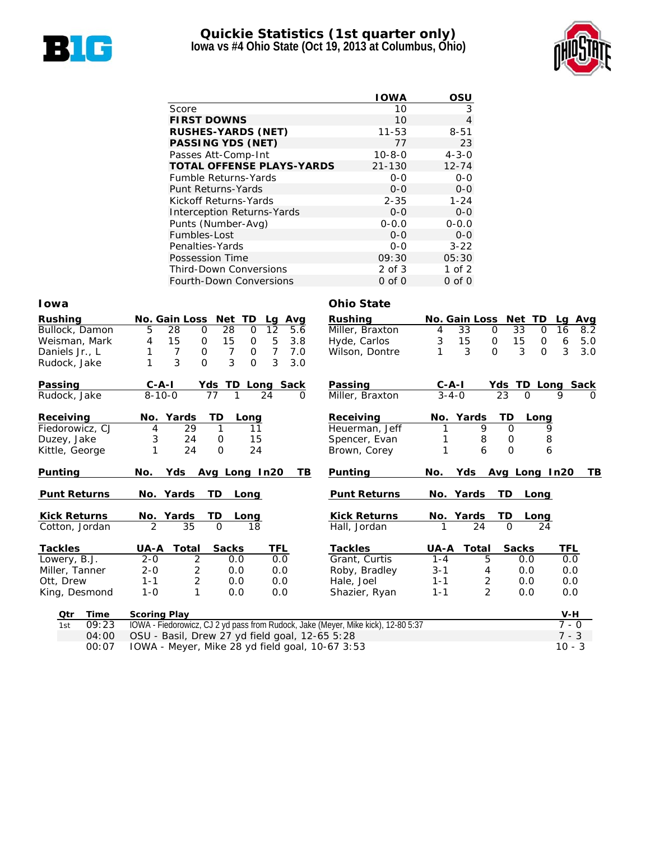

### **Quickie Statistics (1st quarter only) Iowa vs #4 Ohio State (Oct 19, 2013 at Columbus, Ohio)**



|                                   | <b>IOWA</b>  | OSU         |
|-----------------------------------|--------------|-------------|
| Score                             | 10           | 3           |
| <b>FIRST DOWNS</b>                | 10           | 4           |
| <b>RUSHES-YARDS (NET)</b>         | $11 - 53$    | $8 - 51$    |
| <b>PASSING YDS (NET)</b>          | 77           | 23          |
| Passes Att-Comp-Int               | $10 - 8 - 0$ | $4 - 3 - 0$ |
| <b>TOTAL OFFENSE PLAYS-YARDS</b>  | $21 - 130$   | $12 - 74$   |
| <b>Fumble Returns-Yards</b>       | $0 - 0$      | $0 - 0$     |
| Punt Returns-Yards                | $0 - 0$      | $0 - 0$     |
| Kickoff Returns-Yards             | $2 - 35$     | $1 - 24$    |
| <b>Interception Returns-Yards</b> | $0 - 0$      | $0-0$       |
| Punts (Number-Avg)                | $0 - 0.0$    | $0 - 0.0$   |
| Fumbles-Lost                      | $0 - 0$      | $0 - 0$     |
| Penalties-Yards                   | $0 - 0$      | $3 - 22$    |
| Possession Time                   | 09:30        | 05:30       |
| <b>Third-Down Conversions</b>     | 2 of 3       | $1$ of $2$  |
| <b>Fourth-Down Conversions</b>    | $0$ of $0$   | $0$ of $0$  |

#### **Iowa Ohio State**

| Rushing             |       |                     | No. Gain Loss       | Net TD           |             |                | Lg Avg   | <b>Rushing</b>                                                                    |             | No. Gain Loss  |                 | Net TD           | La       | <b>Avg</b> |
|---------------------|-------|---------------------|---------------------|------------------|-------------|----------------|----------|-----------------------------------------------------------------------------------|-------------|----------------|-----------------|------------------|----------|------------|
| Bullock, Damon      |       | 5                   | 28<br>$\Omega$      | 28               | $\mathbf 0$ | 12             | 5.6      | Miller, Braxton                                                                   | 4           | 33             | $\Omega$        | 33<br>$\Omega$   | 16       | 8.2        |
| Weisman, Mark       |       | 4                   | 15<br>0             | 15               | 0           | $\overline{5}$ | 3.8      | Hyde, Carlos                                                                      | $\sqrt{3}$  | 15             | 0               | 15<br>0          | 6        | 5.0        |
| Daniels Jr., L      |       | 1                   | $\overline{7}$<br>0 | $\overline{7}$   | 0           | $\overline{7}$ | 7.0      | Wilson, Dontre                                                                    |             | 3              | $\Omega$        | 3<br>$\Omega$    | 3        | 3.0        |
| Rudock, Jake        |       | 1                   | 3<br>$\overline{O}$ | 3                | $\Omega$    | 3              | 3.0      |                                                                                   |             |                |                 |                  |          |            |
| Passing             |       | $C - A - I$         |                     | Yds TD Long Sack |             |                |          | Passing                                                                           | $C - A - I$ |                |                 | Yds TD Long Sack |          |            |
| Rudock, Jake        |       | $8 - 10 - 0$        |                     | 77               |             | 24             | $\Omega$ | Miller, Braxton                                                                   |             | $3 - 4 - 0$    | $\overline{23}$ | $\Omega$         | 9        | $\Omega$   |
| Receiving           |       | No. Yards           |                     | TD               | Long        |                |          | Receiving                                                                         |             | No. Yards      | TD              | Long             |          |            |
| Fiedorowicz, CJ     |       | 4                   | 29                  | 1                | 11          |                |          | Heuerman, Jeff                                                                    |             | 9              | $\Omega$        |                  | 9        |            |
| Duzey, Jake         |       | 3                   | 24                  | $\mathbf 0$      | 15          |                |          | Spencer, Evan                                                                     |             | 8              | $\mathbf 0$     |                  | 8        |            |
| Kittle, George      |       | 1                   | 24                  | $\Omega$         | 24          |                |          | Brown, Corey                                                                      | 1           | 6              | $\Omega$        |                  | 6        |            |
| Punting             |       | No.                 | Yds                 | Avg Long In20    |             |                | TВ       | <b>Punting</b>                                                                    | No.         | Yds            |                 | Avg Long In20    |          | TВ         |
| <b>Punt Returns</b> |       | No. Yards           |                     | TD               | Long        |                |          | <b>Punt Returns</b>                                                               |             | No. Yards      | TD              | Long             |          |            |
| <b>Kick Returns</b> |       | No. Yards           |                     | TD.              | Long        |                |          | <b>Kick Returns</b>                                                               |             | No. Yards      | TD              | Long             |          |            |
| Cotton, Jordan      |       | 2                   | 35                  | $\Omega$         | 18          |                |          | Hall, Jordan                                                                      |             | 24             | $\Omega$        | 24               |          |            |
| <b>Tackles</b>      |       | UA-A                | <b>Total</b>        | <b>Sacks</b>     |             | <b>TFL</b>     |          | <b>Tackles</b>                                                                    | UA-A        | Total          |                 | <b>Sacks</b>     | TFL      |            |
| Lowery, B.J.        |       | $2 - 0$             | 2                   | 0.0              |             | 0.0            |          | Grant, Curtis                                                                     | $1 - 4$     | 5              |                 | 0.0              | 0.0      |            |
| Miller, Tanner      |       | $2 - 0$             | $\overline{c}$      | 0.0              |             | 0.0            |          | Roby, Bradley                                                                     | $3 - 1$     | 4              |                 | 0.0              | 0.0      |            |
| Ott, Drew           |       | $1 - 1$             | $\overline{2}$      | 0.0              |             | 0.0            |          | Hale, Joel                                                                        | $1 - 1$     | 2              |                 | 0.0              | 0.0      |            |
| King, Desmond       |       | $1 - 0$             | 1                   | 0.0              |             | 0.0            |          | Shazier, Ryan                                                                     | $1 - 1$     | $\overline{2}$ |                 | 0.0              | 0.0      |            |
| Qtr                 | Time  | <b>Scoring Play</b> |                     |                  |             |                |          |                                                                                   |             |                |                 |                  | $V-H$    |            |
| 1st                 | 09:23 |                     |                     |                  |             |                |          | IOWA - Fiedorowicz, CJ 2 yd pass from Rudock, Jake (Meyer, Mike kick), 12-80 5:37 |             |                |                 |                  | $7 - 0$  |            |
|                     | 04:00 |                     |                     |                  |             |                |          | OSU - Basil, Drew 27 yd field goal, 12-65 5:28                                    |             |                |                 |                  | $7 - 3$  |            |
|                     | 00:07 |                     |                     |                  |             |                |          | IOWA - Meyer, Mike 28 yd field goal, 10-67 3:53                                   |             |                |                 |                  | $10 - 3$ |            |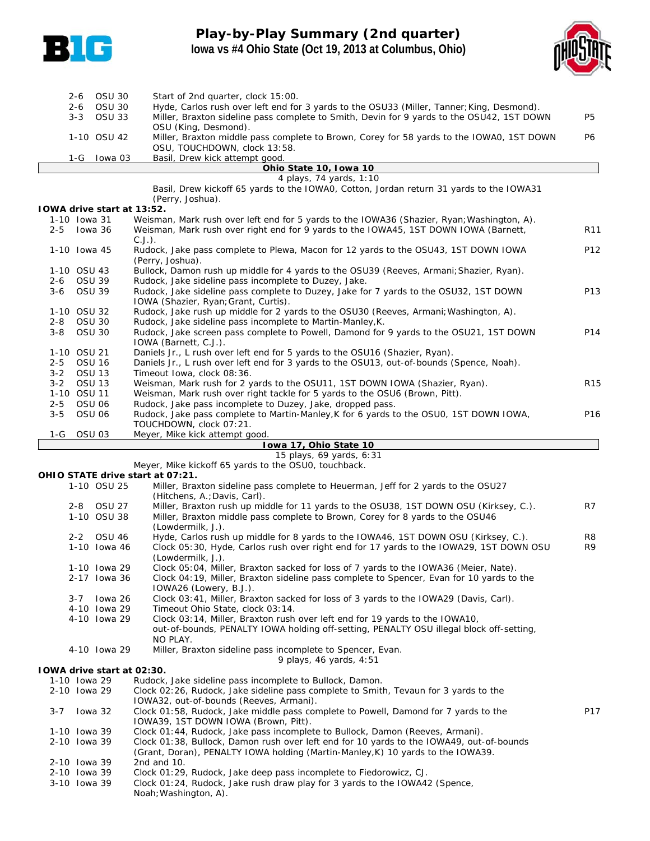

# **Play-by-Play Summary (2nd quarter) Iowa vs #4 Ohio State (Oct 19, 2013 at Columbus, Ohio)**



|         | $2 - 6$<br>$2 - 6$ | <b>OSU 30</b><br><b>OSU 30</b>    | Start of 2nd quarter, clock 15:00.<br>Hyde, Carlos rush over left end for 3 yards to the OSU33 (Miller, Tanner; King, Desmond).                  |                 |
|---------|--------------------|-----------------------------------|--------------------------------------------------------------------------------------------------------------------------------------------------|-----------------|
|         | $3 - 3$            | <b>OSU 33</b>                     | Miller, Braxton sideline pass complete to Smith, Devin for 9 yards to the OSU42, 1ST DOWN                                                        | <b>P5</b>       |
|         |                    | 1-10 OSU 42                       | OSU (King, Desmond).<br>Miller, Braxton middle pass complete to Brown, Corey for 58 yards to the IOWA0, 1ST DOWN<br>OSU, TOUCHDOWN, clock 13:58. | <b>P6</b>       |
|         | $1-G$              | lowa 03                           | Basil, Drew kick attempt good.<br>Ohio State 10, Iowa 10                                                                                         |                 |
|         |                    |                                   | 4 plays, 74 yards, 1:10                                                                                                                          |                 |
|         |                    |                                   | Basil, Drew kickoff 65 yards to the IOWAO, Cotton, Jordan return 31 yards to the IOWA31<br>(Perry, Joshua).                                      |                 |
|         |                    | <b>IOWA drive start at 13:52.</b> |                                                                                                                                                  |                 |
|         | 1-10 Iowa 31       |                                   | Weisman, Mark rush over left end for 5 yards to the IOWA36 (Shazier, Ryan; Washington, A).                                                       |                 |
| $2 - 5$ |                    | lowa 36                           | Weisman, Mark rush over right end for 9 yards to the IOWA45, 1ST DOWN IOWA (Barnett,<br>$C.J.$ ).                                                | R <sub>11</sub> |
|         | 1-10 Iowa 45       |                                   | Rudock, Jake pass complete to Plewa, Macon for 12 yards to the OSU43, 1ST DOWN IOWA<br>(Perry, Joshua).                                          | P <sub>12</sub> |
|         | 1-10 OSU 43        |                                   | Bullock, Damon rush up middle for 4 yards to the OSU39 (Reeves, Armani; Shazier, Ryan).                                                          |                 |
| $2 - 6$ | <b>OSU 39</b>      |                                   | Rudock, Jake sideline pass incomplete to Duzey, Jake.                                                                                            |                 |
| $3 - 6$ | <b>OSU 39</b>      |                                   | Rudock, Jake sideline pass complete to Duzey, Jake for 7 yards to the OSU32, 1ST DOWN<br>IOWA (Shazier, Ryan; Grant, Curtis).                    | P <sub>13</sub> |
|         | 1-10 OSU 32        |                                   | Rudock, Jake rush up middle for 2 yards to the OSU30 (Reeves, Armani; Washington, A).                                                            |                 |
| $2 - 8$ | <b>OSU 30</b>      |                                   | Rudock, Jake sideline pass incomplete to Martin-Manley, K.                                                                                       |                 |
| $3 - 8$ | <b>OSU 30</b>      |                                   | Rudock, Jake screen pass complete to Powell, Damond for 9 yards to the OSU21, 1ST DOWN<br>IOWA (Barnett, C.J.).                                  | P14             |
|         | 1-10 OSU 21        |                                   | Daniels Jr., L rush over left end for 5 yards to the OSU16 (Shazier, Ryan).                                                                      |                 |
| $2 - 5$ | <b>OSU 16</b>      |                                   | Daniels Jr., L rush over left end for 3 yards to the OSU13, out-of-bounds (Spence, Noah).                                                        |                 |
| $3 - 2$ | <b>OSU 13</b>      |                                   | Timeout Iowa, clock 08:36.                                                                                                                       |                 |
| $3 - 2$ | <b>OSU 13</b>      |                                   | Weisman, Mark rush for 2 yards to the OSU11, 1ST DOWN IOWA (Shazier, Ryan).                                                                      | R <sub>15</sub> |
|         | 1-10 OSU 11        |                                   | Weisman, Mark rush over right tackle for 5 yards to the OSU6 (Brown, Pitt).                                                                      |                 |
| $2 - 5$ | <b>OSU 06</b>      |                                   | Rudock, Jake pass incomplete to Duzey, Jake, dropped pass.                                                                                       |                 |
| $3 - 5$ | <b>OSU 06</b>      |                                   | Rudock, Jake pass complete to Martin-Manley, K for 6 yards to the OSU0, 1ST DOWN IOWA,                                                           | P16             |
|         |                    |                                   | TOUCHDOWN, clock 07:21.                                                                                                                          |                 |
| 1-G     | OSU <sub>03</sub>  |                                   | Meyer, Mike kick attempt good.                                                                                                                   |                 |
|         |                    |                                   | Iowa 17, Ohio State 10                                                                                                                           |                 |
|         |                    |                                   | 15 plays, 69 yards, 6:31                                                                                                                         |                 |

Meyer, Mike kickoff 65 yards to the OSU0, touchback.

**OHIO STATE drive start at 07:21.**

Noah;Washington, A).

|         |              | 1-10 OSU 25  | Miller, Braxton sideline pass complete to Heuerman, Jeff for 2 yards to the OSU27<br>(Hitchens, A.; Davis, Carl).               |                |
|---------|--------------|--------------|---------------------------------------------------------------------------------------------------------------------------------|----------------|
|         |              | 2-8 OSU 27   | Miller, Braxton rush up middle for 11 yards to the OSU38, 1ST DOWN OSU (Kirksey, C.).                                           | R7             |
|         |              | 1-10 OSU 38  | Miller, Braxton middle pass complete to Brown, Corey for 8 yards to the OSU46<br>(Lowdermilk, J.).                              |                |
|         |              | 2-2 OSU 46   | Hyde, Carlos rush up middle for 8 yards to the IOWA46, 1ST DOWN OSU (Kirksey, C.).                                              | R <sub>8</sub> |
|         |              | 1-10 Iowa 46 | Clock 05:30, Hyde, Carlos rush over right end for 17 yards to the IOWA29, 1ST DOWN OSU<br>(Lowdermilk, J.).                     | R <sub>9</sub> |
|         |              | 1-10 Iowa 29 | Clock 05:04, Miller, Braxton sacked for loss of 7 yards to the IOWA36 (Meier, Nate).                                            |                |
|         |              | 2-17 Iowa 36 | Clock 04:19, Miller, Braxton sideline pass complete to Spencer, Evan for 10 yards to the<br>IOWA26 (Lowery, B.J.).              |                |
|         | $3 - 7$      | lowa 26      | Clock 03:41, Miller, Braxton sacked for loss of 3 yards to the IOWA29 (Davis, Carl).                                            |                |
|         |              | 4-10 Iowa 29 | Timeout Ohio State, clock 03:14.                                                                                                |                |
|         |              | 4-10 Iowa 29 | Clock 03:14, Miller, Braxton rush over left end for 19 yards to the IOWA10,                                                     |                |
|         |              |              | out-of-bounds, PENALTY IOWA holding off-setting, PENALTY OSU illegal block off-setting,<br>NO PLAY.                             |                |
|         |              | 4-10 Iowa 29 | Miller, Braxton sideline pass incomplete to Spencer, Evan.                                                                      |                |
|         |              |              | 9 plays, 46 yards, $4:51$                                                                                                       |                |
|         |              |              | <b>IOWA drive start at 02:30.</b>                                                                                               |                |
|         | 1-10 Iowa 29 |              | Rudock, Jake sideline pass incomplete to Bullock, Damon.                                                                        |                |
|         | 2-10 Iowa 29 |              | Clock 02:26, Rudock, Jake sideline pass complete to Smith, Tevaun for 3 yards to the<br>IOWA32, out-of-bounds (Reeves, Armani). |                |
| $3 - 7$ |              | lowa 32      | Clock 01:58, Rudock, Jake middle pass complete to Powell, Damond for 7 yards to the<br>IOWA39, 1ST DOWN IOWA (Brown, Pitt).     | P17            |
|         | 1-10 Iowa 39 |              | Clock 01:44, Rudock, Jake pass incomplete to Bullock, Damon (Reeves, Armani).                                                   |                |
|         | 2-10 Iowa 39 |              | Clock 01:38, Bullock, Damon rush over left end for 10 yards to the IOWA49, out-of-bounds                                        |                |
|         |              |              | (Grant, Doran), PENALTY IOWA holding (Martin-Manley, K) 10 yards to the IOWA39.                                                 |                |
|         | 2-10 Iowa 39 |              | 2nd and 10.                                                                                                                     |                |
|         | 2-10 Iowa 39 |              | Clock 01:29, Rudock, Jake deep pass incomplete to Fiedorowicz, CJ.                                                              |                |
|         | 3-10 Iowa 39 |              | Clock 01:24, Rudock, Jake rush draw play for 3 yards to the IOWA42 (Spence,                                                     |                |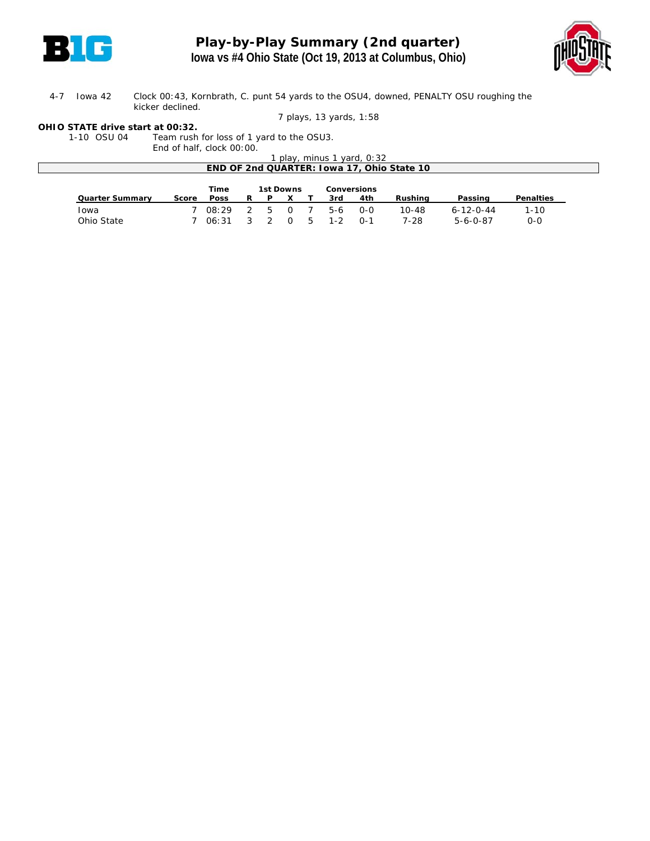



#### 4-7 Iowa 42 Clock 00:43, Kornbrath, C. punt 54 yards to the OSU4, downed, PENALTY OSU roughing the kicker declined.

#### *7 plays, 13 yards, 1:58*

#### **OHIO STATE drive start at 00:32.**

1-10 OSU 04 Team rush for loss of 1 yard to the OSU3. End of half, clock 00:00.

|                        | Little of Tiality Clock Oo. 00. |             |   |    |           |                          |       |                                            |                   |                  |
|------------------------|---------------------------------|-------------|---|----|-----------|--------------------------|-------|--------------------------------------------|-------------------|------------------|
|                        |                                 |             |   |    |           | play, minus 1 yard, 0:32 |       |                                            |                   |                  |
|                        |                                 |             |   |    |           |                          |       | END OF 2nd QUARTER: Iowa 17, Ohio State 10 |                   |                  |
|                        |                                 |             |   |    |           |                          |       |                                            |                   |                  |
|                        |                                 |             |   |    |           |                          |       |                                            |                   |                  |
|                        |                                 | <b>Time</b> |   |    | 1st Downs | <b>Conversions</b>       |       |                                            |                   |                  |
| <b>Quarter Summary</b> | Score                           | <b>Poss</b> | R | P. |           | 3rd                      | 4th   | Rushina                                    | Passing           | <b>Penalties</b> |
| Iowa                   |                                 | 08:29       |   | 5  | $\Omega$  | 5-6                      | $O-O$ | $10 - 48$                                  | $6 - 12 - 0 - 44$ | $1 - 10$         |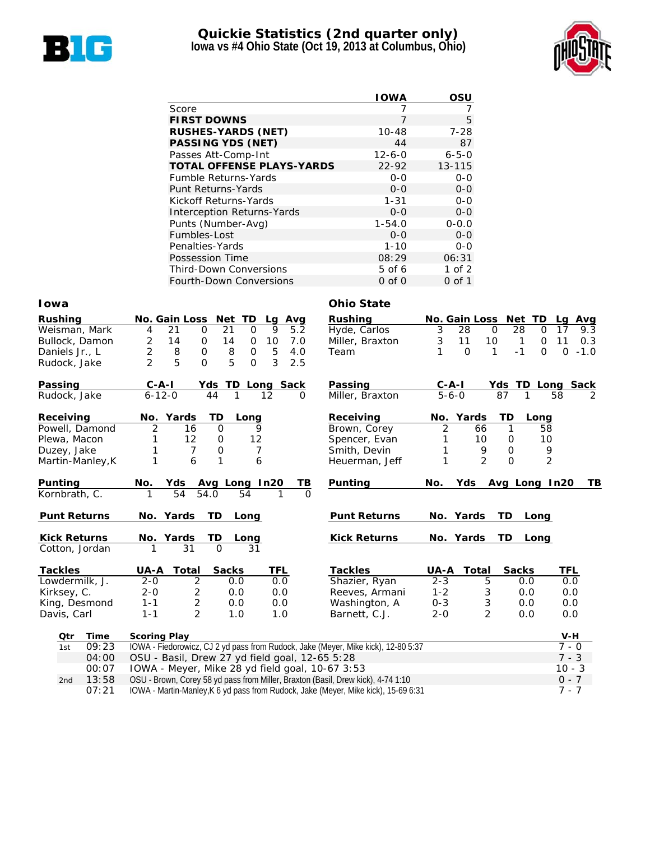

### **Quickie Statistics (2nd quarter only) Iowa vs #4 Ohio State (Oct 19, 2013 at Columbus, Ohio)**



|                                   | <b>IOWA</b>  | OSU         |
|-----------------------------------|--------------|-------------|
| Score                             |              |             |
| <b>FIRST DOWNS</b>                | 7            | 5           |
| <b>RUSHES-YARDS (NET)</b>         | $10 - 48$    | $7 - 28$    |
| <b>PASSING YDS (NET)</b>          | 44           | 87          |
| Passes Att-Comp-Int               | $12 - 6 - 0$ | $6 - 5 - 0$ |
| <b>TOTAL OFFENSE PLAYS-YARDS</b>  | $22 - 92$    | 13-115      |
| <b>Fumble Returns-Yards</b>       | $0 - 0$      | $0 - 0$     |
| Punt Returns-Yards                | $0 - 0$      | $0 - 0$     |
| Kickoff Returns-Yards             | $1 - 31$     | $0 - 0$     |
| <b>Interception Returns-Yards</b> | $0 - 0$      | $0-0$       |
| Punts (Number-Avg)                | $1 - 54.0$   | $0 - 0.0$   |
| Fumbles-Lost                      | $0 - 0$      | $0 - 0$     |
| Penalties-Yards                   | $1 - 10$     | $0 - 0$     |
| Possession Time                   | 08:29        | 06:31       |
| <b>Third-Down Conversions</b>     | 5 of 6       | $1$ of $2$  |
| <b>Fourth-Down Conversions</b>    | $0$ of $0$   | 0 of 1      |

#### **Iowa Ohio State**

| <b>Rushing</b>              | No. Gain Loss Net TD<br>Lg<br>Avg                                                 | <b>Rushing</b>              | No. Gain Loss Net TD |                       | Lg<br>Avg                         |
|-----------------------------|-----------------------------------------------------------------------------------|-----------------------------|----------------------|-----------------------|-----------------------------------|
| Weisman, Mark               | 21<br>9<br>$\mathbf 0$<br>21<br>5.2<br>$\mathbf 0$<br>4                           | Hyde, Carlos                | 3<br>28              | 28<br>$\mathbf 0$     | $\mathbf 0$<br>17<br>9.3          |
| Bullock, Damon              | $\overline{c}$<br>14<br>7.0<br>0<br>14<br>10<br>0                                 | Miller, Braxton             | 3<br>11              | 10<br>$\mathbf{1}$    | 11<br>$\mathbf 0$<br>0.3          |
| Daniels Jr., L              | $\overline{c}$<br>5<br>8<br>$\mathbf 0$<br>8<br>$\mathbf 0$<br>4.0                | Team                        | $\overline{0}$<br>1  | $-1$<br>1             | $\Omega$<br>$-1.0$<br>$\mathbf 0$ |
| Rudock, Jake                | 5<br>$\overline{2}$<br>5<br>3<br>$\Omega$<br>$\Omega$<br>2.5                      |                             |                      |                       |                                   |
| Passing                     | $C - A - I$<br>Yds TD Long Sack                                                   | Passing                     | $C-A-I$              | Yds TD Long Sack      |                                   |
| Rudock, Jake                | $6 - 12 - 0$<br>44<br>1<br>12                                                     | Miller, Braxton<br>$\Omega$ | $5 - 6 - 0$          | 87<br>1               | 58<br>2                           |
| Receiving                   | No. Yards<br>TD<br>Long                                                           | Receiving                   | No. Yards            | TD<br>Long            |                                   |
| Powell, Damond              | 2<br>$\overline{O}$<br>16<br>9                                                    | Brown, Corey                | $\overline{2}$<br>66 | 1                     | 58                                |
| Plewa, Macon                | 12<br>$\mathbf 0$<br>12                                                           | Spencer, Evan               | 10                   | 0                     | 10                                |
| Duzey, Jake                 | $\mathbf 0$<br>7<br>$\overline{7}$                                                | Smith, Devin                | 9<br>1               | $\mathbf{O}$          | 9                                 |
| Martin-Manley, K            | 6<br>$\mathbf{1}$<br>6<br>1                                                       | Heuerman, Jeff              | $\overline{2}$<br>1  | $\overline{O}$        | $\overline{2}$                    |
| Punting                     | <b>Yds</b><br>Avg Long In20<br>No.                                                | Punting<br>ΤВ               | No.<br>Yds           | Avg Long In20         | TB.                               |
| Kornbrath, C.               | 54<br>54.0<br>54                                                                  |                             |                      |                       |                                   |
|                             |                                                                                   |                             |                      |                       |                                   |
| <b>Punt Returns</b>         | No. Yards<br>TD<br>Long                                                           | <b>Punt Returns</b>         | No. Yards            | TD.<br>Long           |                                   |
| <b>Kick Returns</b>         | No. Yards<br>TD<br>Long                                                           | <b>Kick Returns</b>         | No. Yards            | TD.<br>Long           |                                   |
| Cotton, Jordan              | $\overline{31}$<br>$\Omega$<br>31<br>1                                            |                             |                      |                       |                                   |
| <b>Tackles</b>              | Total<br><b>Sacks</b><br><b>TFL</b><br>UA-A                                       | <b>Tackles</b>              | UA-A<br><b>Total</b> | <b>Sacks</b>          | TFL                               |
| Lowdermilk, J.              | 2<br>0.0<br>$2 - 0$<br>0.0                                                        | Shazier, Ryan               | $2 - 3$              | 5<br>0.0              | 0.0                               |
| Kirksey, C.                 | 2<br>$2 - 0$<br>0.0<br>0.0                                                        | Reeves, Armani              | $1 - 2$              | 3<br>0.0              | 0.0                               |
| King, Desmond               | $\overline{2}$<br>$1 - 1$<br>0.0<br>0.0                                           | Washington, A               | $0 - 3$              | 3<br>0.0              | 0.0                               |
| Davis, Carl                 | 2<br>$1 - 1$<br>1.0<br>1.0                                                        | Barnett, C.J.               | $2 - 0$              | $\overline{2}$<br>0.0 | 0.0                               |
| Otr                         | <b>Scoring Play</b>                                                               |                             |                      |                       | $V-H$                             |
| <b>Time</b><br>09:23<br>1st | IOWA - Fiedorowicz, CJ 2 yd pass from Rudock, Jake (Meyer, Mike kick), 12-80 5:37 |                             |                      |                       | $7 - 0$                           |
| 04:00                       | OSU - Basil, Drew 27 yd field goal, 12-65 5:28                                    |                             |                      |                       | $7 - 3$                           |
| 00:07                       | IOWA - Meyer, Mike 28 yd field goal, 10-67 3:53                                   |                             |                      |                       | $10 - 3$                          |
| 13:58<br>2nd                | OSU - Brown, Corey 58 yd pass from Miller, Braxton (Basil, Drew kick), 4-74 1:10  |                             |                      |                       | $0 - 7$                           |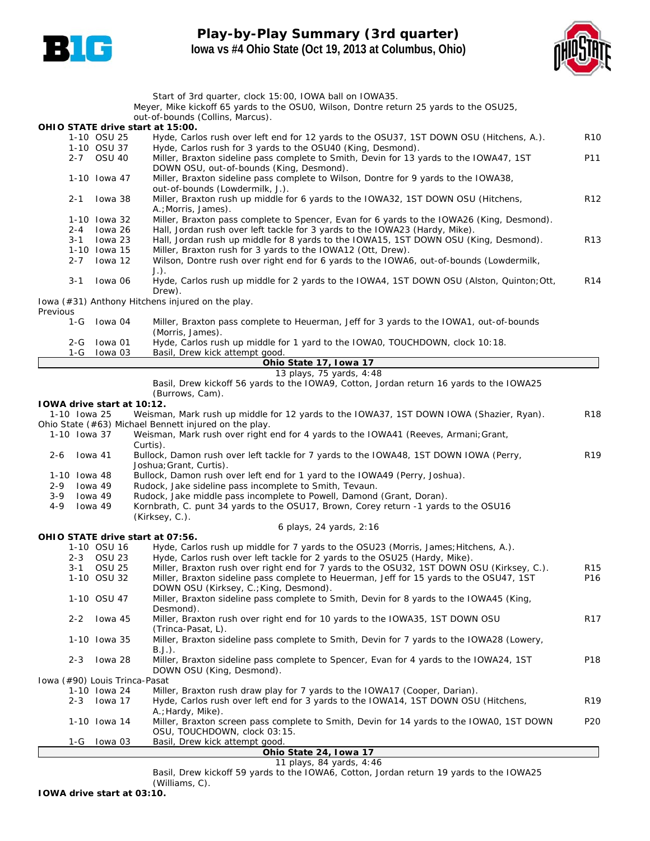

# **Play-by-Play Summary (3rd quarter) Iowa vs #4 Ohio State (Oct 19, 2013 at Columbus, Ohio)**



|                                   |                         | Start of 3rd quarter, clock 15:00, IOWA ball on IOWA35.                                                                                                |                 |
|-----------------------------------|-------------------------|--------------------------------------------------------------------------------------------------------------------------------------------------------|-----------------|
|                                   |                         | Meyer, Mike kickoff 65 yards to the OSU0, Wilson, Dontre return 25 yards to the OSU25,<br>out-of-bounds (Collins, Marcus).                             |                 |
|                                   |                         | OHIO STATE drive start at 15:00.                                                                                                                       |                 |
|                                   | 1-10 OSU 25             | Hyde, Carlos rush over left end for 12 yards to the OSU37, 1ST DOWN OSU (Hitchens, A.).                                                                | R10             |
|                                   | 1-10 OSU 37             | Hyde, Carlos rush for 3 yards to the OSU40 (King, Desmond).<br>Miller, Braxton sideline pass complete to Smith, Devin for 13 yards to the IOWA47, 1ST  | P11             |
|                                   | 2-7 OSU 40              | DOWN OSU, out-of-bounds (King, Desmond).                                                                                                               |                 |
|                                   | 1-10 Iowa 47            | Miller, Braxton sideline pass complete to Wilson, Dontre for 9 yards to the IOWA38,<br>out-of-bounds (Lowdermilk, J.).                                 |                 |
| 2-1                               | lowa 38                 | Miller, Braxton rush up middle for 6 yards to the IOWA32, 1ST DOWN OSU (Hitchens,<br>A.; Morris, James).                                               | R <sub>12</sub> |
|                                   | 1-10 Iowa 32            | Miller, Braxton pass complete to Spencer, Evan for 6 yards to the IOWA26 (King, Desmond).                                                              |                 |
| $2 - 4$                           | lowa 26                 | Hall, Jordan rush over left tackle for 3 yards to the IOWA23 (Hardy, Mike).                                                                            |                 |
| $3 - 1$                           | lowa 23<br>1-10 Iowa 15 | Hall, Jordan rush up middle for 8 yards to the IOWA15, 1ST DOWN OSU (King, Desmond).                                                                   | R <sub>13</sub> |
| $2 - 7$                           | lowa 12                 | Miller, Braxton rush for 3 yards to the IOWA12 (Ott, Drew).<br>Wilson, Dontre rush over right end for 6 yards to the IOWA6, out-of-bounds (Lowdermilk, |                 |
|                                   |                         | $J.$ ).                                                                                                                                                |                 |
| $3 - 1$                           | lowa 06                 | Hyde, Carlos rush up middle for 2 yards to the IOWA4, 1ST DOWN OSU (Alston, Quinton; Ott,<br>Drew).                                                    | R <sub>14</sub> |
|                                   |                         | Iowa (#31) Anthony Hitchens injured on the play.                                                                                                       |                 |
| Previous                          |                         |                                                                                                                                                        |                 |
| $1-G$                             | lowa 04                 | Miller, Braxton pass complete to Heuerman, Jeff for 3 yards to the IOWA1, out-of-bounds<br>(Morris, James).                                            |                 |
| 2-G                               | lowa 01                 | Hyde, Carlos rush up middle for 1 yard to the IOWAO, TOUCHDOWN, clock 10:18.                                                                           |                 |
| 1-G                               | lowa 03                 | Basil, Drew kick attempt good.                                                                                                                         |                 |
|                                   |                         | Ohio State 17, Iowa 17                                                                                                                                 |                 |
|                                   |                         | 13 plays, 75 yards, 4:48<br>Basil, Drew kickoff 56 yards to the IOWA9, Cotton, Jordan return 16 yards to the IOWA25                                    |                 |
|                                   |                         | (Burrows, Cam).                                                                                                                                        |                 |
| <b>IOWA drive start at 10:12.</b> |                         |                                                                                                                                                        |                 |
| 1-10 Iowa 25                      |                         | Weisman, Mark rush up middle for 12 yards to the IOWA37, 1ST DOWN IOWA (Shazier, Ryan).                                                                | R <sub>18</sub> |
|                                   |                         | Ohio State (#63) Michael Bennett injured on the play.                                                                                                  |                 |
| 1-10 Iowa 37                      |                         | Weisman, Mark rush over right end for 4 yards to the IOWA41 (Reeves, Armani; Grant,                                                                    |                 |
| 2-6                               | Iowa 41                 | Curtis).<br>Bullock, Damon rush over left tackle for 7 yards to the IOWA48, 1ST DOWN IOWA (Perry,                                                      | R <sub>19</sub> |
|                                   |                         | Joshua; Grant, Curtis).                                                                                                                                |                 |
| 1-10 Iowa 48                      |                         | Bullock, Damon rush over left end for 1 yard to the IOWA49 (Perry, Joshua).                                                                            |                 |
| 2-9                               | lowa 49                 | Rudock, Jake sideline pass incomplete to Smith, Tevaun.                                                                                                |                 |
| $3 - 9$                           | lowa 49                 | Rudock, Jake middle pass incomplete to Powell, Damond (Grant, Doran).                                                                                  |                 |
| 4-9                               | lowa 49                 | Kornbrath, C. punt 34 yards to the OSU17, Brown, Corey return -1 yards to the OSU16<br>(Kirksey, C.).                                                  |                 |
|                                   |                         | 6 plays, 24 yards, 2:16                                                                                                                                |                 |
|                                   |                         | OHIO STATE drive start at 07:56.                                                                                                                       |                 |
|                                   | 1-10 OSU 16             | Hyde, Carlos rush up middle for 7 yards to the OSU23 (Morris, James; Hitchens, A.).                                                                    |                 |
| 2-3                               | OSU 23                  | Hyde, Carlos rush over left tackle for 2 yards to the OSU25 (Hardy, Mike).                                                                             |                 |
| 3-1                               | <b>OSU 25</b>           | Miller, Braxton rush over right end for 7 yards to the OSU32, 1ST DOWN OSU (Kirksey, C.).                                                              | <b>R15</b>      |
|                                   | 1-10 OSU 32             | Miller, Braxton sideline pass complete to Heuerman, Jeff for 15 yards to the OSU47, 1ST<br>DOWN OSU (Kirksey, C.; King, Desmond).                      | P16             |
|                                   | 1-10 OSU 47             | Miller, Braxton sideline pass complete to Smith, Devin for 8 yards to the IOWA45 (King,<br>Desmond).                                                   |                 |
| $2 - 2$                           | lowa 45                 | Miller, Braxton rush over right end for 10 yards to the IOWA35, 1ST DOWN OSU<br>(Trinca-Pasat, L).                                                     | R17             |
|                                   | 1-10 Iowa 35            | Miller, Braxton sideline pass complete to Smith, Devin for 7 yards to the IOWA28 (Lowery,<br>$B.J.$ ).                                                 |                 |
| $2 - 3$                           | Iowa 28                 | Miller, Braxton sideline pass complete to Spencer, Evan for 4 yards to the IOWA24, 1ST<br>DOWN OSU (King, Desmond).                                    | P18             |
| Iowa (#90) Louis Trinca-Pasat     |                         |                                                                                                                                                        |                 |
|                                   | 1-10 Iowa 24            | Miller, Braxton rush draw play for 7 yards to the IOWA17 (Cooper, Darian).                                                                             |                 |
| 2-3                               | Iowa 17                 | Hyde, Carlos rush over left end for 3 yards to the IOWA14, 1ST DOWN OSU (Hitchens,                                                                     | R <sub>19</sub> |
|                                   |                         | A.; Hardy, Mike).                                                                                                                                      |                 |
|                                   | 1-10 Iowa 14            | Miller, Braxton screen pass complete to Smith, Devin for 14 yards to the IOWAO, 1ST DOWN<br>OSU, TOUCHDOWN, clock 03:15.                               | P <sub>20</sub> |
| 1-G                               | lowa 03                 | Basil, Drew kick attempt good.                                                                                                                         |                 |
|                                   |                         | Ohio State 24, Iowa 17                                                                                                                                 |                 |

**Ohio State 24, Iowa 17** *11 plays, 84 yards, 4:46*

Basil, Drew kickoff 59 yards to the IOWA6, Cotton, Jordan return 19 yards to the IOWA25 (Williams, C).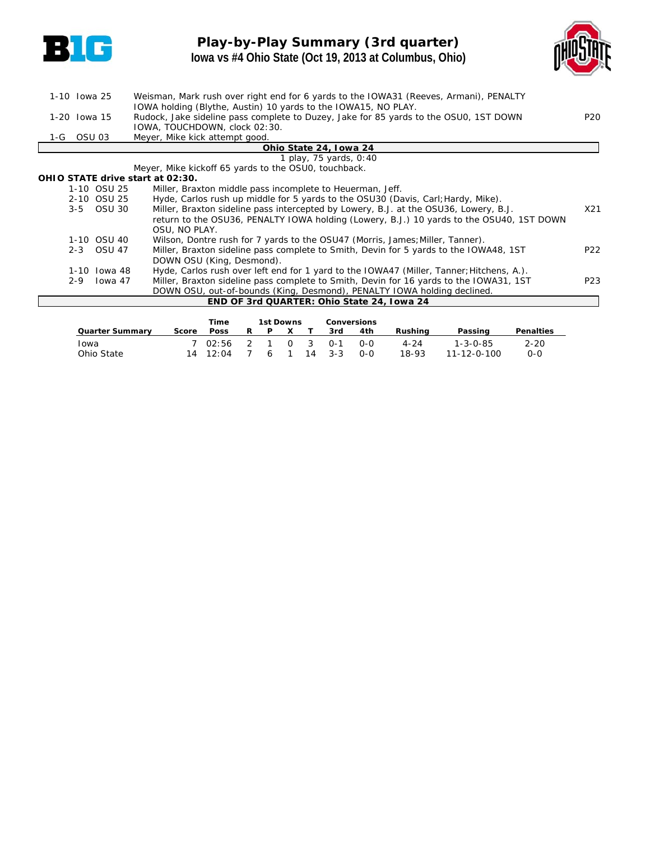

# **Play-by-Play Summary (3rd quarter) Iowa vs #4 Ohio State (Oct 19, 2013 at Columbus, Ohio)**



| 1-10 Iowa 25 |         |               | Weisman, Mark rush over right end for 6 yards to the IOWA31 (Reeves, Armani), PENALTY    |                 |
|--------------|---------|---------------|------------------------------------------------------------------------------------------|-----------------|
|              |         |               | IOWA holding (Blythe, Austin) 10 yards to the IOWA15, NO PLAY.                           |                 |
| 1-20 Iowa 15 |         |               | Rudock, Jake sideline pass complete to Duzey, Jake for 85 yards to the OSU0, 1ST DOWN    | P <sub>20</sub> |
|              |         |               | IOWA, TOUCHDOWN, clock 02:30.                                                            |                 |
|              |         |               | Meyer, Mike kick attempt good.                                                           |                 |
|              |         |               | Ohio State 24, Iowa 24                                                                   |                 |
|              |         |               | 1 play, 75 yards, 0:40                                                                   |                 |
|              |         |               | Meyer, Mike kickoff 65 yards to the OSU0, touchback.                                     |                 |
|              |         |               | OHIO STATE drive start at 02:30.                                                         |                 |
|              |         | 1-10 OSU 25   | Miller, Braxton middle pass incomplete to Heuerman, Jeff.                                |                 |
|              |         | 2-10 OSU 25   | Hyde, Carlos rush up middle for 5 yards to the OSU30 (Davis, Carl; Hardy, Mike).         |                 |
|              |         | 3-5 OSU 30    | Miller, Braxton sideline pass intercepted by Lowery, B.J. at the OSU36, Lowery, B.J.     | X21             |
|              |         |               | return to the OSU36, PENALTY IOWA holding (Lowery, B.J.) 10 yards to the OSU40, 1ST DOWN |                 |
|              |         |               | OSU, NO PLAY.                                                                            |                 |
|              |         | 1-10 OSU 40   | Wilson, Dontre rush for 7 yards to the OSU47 (Morris, James; Miller, Tanner).            |                 |
|              | $2 - 3$ | <b>OSU 47</b> | Miller, Braxton sideline pass complete to Smith, Devin for 5 yards to the IOWA48, 1ST    | P <sub>22</sub> |
|              |         |               | DOWN OSU (King, Desmond).                                                                |                 |
|              |         | 1-10 Iowa 48  | Hyde, Carlos rush over left end for 1 yard to the IOWA47 (Miller, Tanner; Hitchens, A.). |                 |
|              | $2 - 9$ | Iowa 47       | Miller, Braxton sideline pass complete to Smith, Devin for 16 yards to the IOWA31, 1ST   | P <sub>23</sub> |
|              |         |               | DOWN OSU, out-of-bounds (King, Desmond), PENALTY IOWA holding declined.                  |                 |
|              |         |               | END OF 3rd QUARTER: Ohio State 24, Iowa 24                                               |                 |
|              |         |               |                                                                                          |                 |

|                        |       | Time                   |   | 1st Downs |             |         | <b>Conversions</b> |          |                     |                  |
|------------------------|-------|------------------------|---|-----------|-------------|---------|--------------------|----------|---------------------|------------------|
| <b>Quarter Summary</b> | Score | <b>Poss</b>            | R | P         |             | 3rd     | 4th                | Rushina  | Passing             | <b>Penalties</b> |
| Iowa                   |       | 7 02:56                |   |           | $0 \quad 3$ | 0-1     | റ-റ                | $4 - 24$ | $1 - 3 - 0 - 85$    | $2 - 20$         |
| Ohio State             |       | $14 \quad 12 \cdot 04$ |   | 6         | 14          | $3 - 3$ | റ-റ                | 18-93    | $11 - 12 - 0 - 100$ | $0 - 0$          |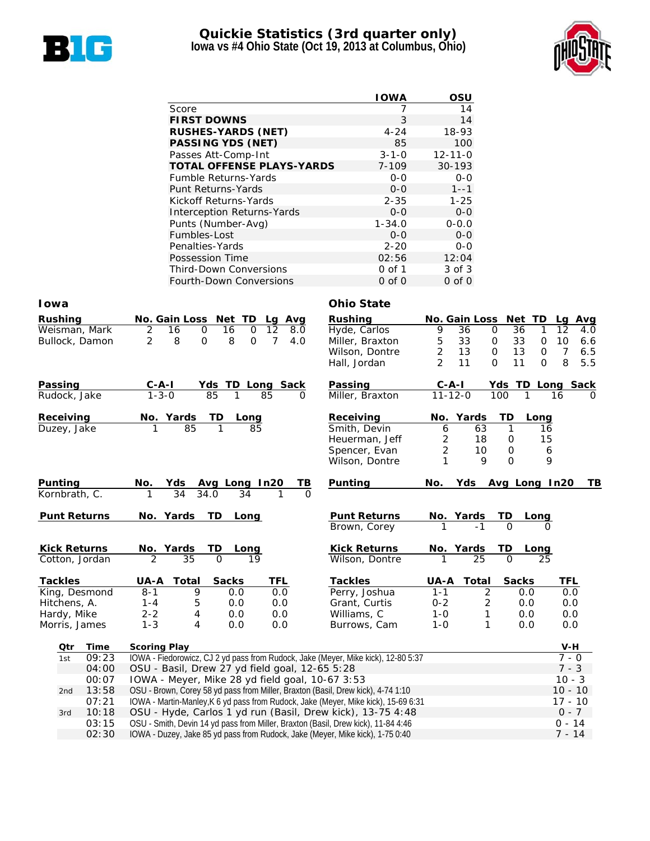

### **Quickie Statistics (3rd quarter only) Iowa vs #4 Ohio State (Oct 19, 2013 at Columbus, Ohio)**



|                                   | <b>IOWA</b> | OSU           |
|-----------------------------------|-------------|---------------|
| Score                             |             | 14            |
| <b>FIRST DOWNS</b>                | 3           | 14            |
| <b>RUSHES-YARDS (NET)</b>         | $4 - 24$    | 18-93         |
| <b>PASSING YDS (NET)</b>          | 85          | 100           |
| Passes Att-Comp-Int               | $3 - 1 - 0$ | $12 - 11 - 0$ |
| <b>TOTAL OFFENSE PLAYS-YARDS</b>  | $7 - 109$   | $30 - 193$    |
| <b>Fumble Returns-Yards</b>       | $0 - 0$     | $0 - 0$       |
| Punt Returns-Yards                | $0 - 0$     | $1 - -1$      |
| Kickoff Returns-Yards             | $2 - 35$    | $1 - 25$      |
| <b>Interception Returns-Yards</b> | $0 - 0$     | $0 - 0$       |
| Punts (Number-Avg)                | $1 - 34.0$  | $0 - 0.0$     |
| Fumbles-Lost                      | $0 - 0$     | $0 - 0$       |
| Penalties-Yards                   | $2 - 20$    | $0 - 0$       |
| Possession Time                   | 02:56       | 12:04         |
| <b>Third-Down Conversions</b>     | 0 of 1      | 3 of 3        |
| Fourth-Down Conversions           | $0$ of $0$  | $0$ of $0$    |

#### **Iowa Ohio State**

| Rushing             | No. Gain Loss                      | Net TD<br>Lg Avg                                           | <b>Rushing</b>                                                                    |                | <b>No. Gain Loss</b> | Net<br>TD.         | Avg<br>Lg             |  |  |  |
|---------------------|------------------------------------|------------------------------------------------------------|-----------------------------------------------------------------------------------|----------------|----------------------|--------------------|-----------------------|--|--|--|
| Weisman, Mark       | 2<br>16<br>0                       | 12<br>16<br>0<br>8.0                                       | Hyde, Carlos                                                                      | 9              | 36<br>$\mathbf 0$    | 36<br>1            | 12<br>4.0             |  |  |  |
| Bullock, Damon      | $\overline{2}$<br>8<br>$\mathbf 0$ | 8<br>7<br>$\mathbf 0$<br>4.0                               | Miller, Braxton                                                                   | 5              | 33<br>$\mathbf 0$    | 33<br>0            | 10<br>6.6             |  |  |  |
|                     |                                    |                                                            | Wilson, Dontre                                                                    | $\overline{c}$ | 13<br>$\mathbf 0$    | 13<br>$\mathbf 0$  | $\overline{7}$<br>6.5 |  |  |  |
|                     |                                    |                                                            | Hall, Jordan                                                                      | $\overline{2}$ | 11<br>$\Omega$       | 11<br>$\Omega$     | 8<br>5.5              |  |  |  |
| Passing             | $C - A - I$                        | Yds TD Long Sack                                           | Passing                                                                           | $C-A-I$        |                      | Yds TD Long Sack   |                       |  |  |  |
| Rudock, Jake        | $1 - 3 - 0$                        | 85<br>85<br>1<br>$\Omega$                                  | Miller, Braxton                                                                   | $11 - 12 - 0$  | 100                  | 1                  | 16<br>$\Omega$        |  |  |  |
| Receiving           | No. Yards                          | TD<br>Long                                                 | Receiving                                                                         | No. Yards      |                      | TD<br>Long         |                       |  |  |  |
| Duzey, Jake         | 85                                 | 85                                                         | Smith, Devin                                                                      | 6              | 63                   | $\mathbf{1}$<br>16 |                       |  |  |  |
|                     |                                    |                                                            | Heuerman, Jeff                                                                    | 2              | 18                   | 15<br>0            |                       |  |  |  |
|                     |                                    |                                                            | Spencer, Evan                                                                     | $\overline{2}$ | 10                   | $\mathbf 0$<br>6   |                       |  |  |  |
|                     |                                    |                                                            | Wilson, Dontre                                                                    | 1              | $\mathsf Q$          | $\Omega$           | 9                     |  |  |  |
| Punting             | No.<br>Yds                         | Avg Long In20<br>ΤВ                                        | Punting                                                                           | No.            | Yds                  | Avg Long In20      | TВ                    |  |  |  |
| Kornbrath, C.       | 34                                 | 34.0<br>34<br>$\Omega$                                     |                                                                                   |                |                      |                    |                       |  |  |  |
| <b>Punt Returns</b> | No. Yards                          | TD.<br>Long                                                | <b>Punt Returns</b>                                                               | No. Yards      |                      | TD.<br>Long        |                       |  |  |  |
|                     |                                    |                                                            | Brown, Corey                                                                      |                | $-1$                 | $\Omega$           |                       |  |  |  |
| <b>Kick Returns</b> | No. Yards                          | TD<br>Long                                                 | <b>Kick Returns</b>                                                               | No. Yards      |                      | TD<br>Long         |                       |  |  |  |
| Cotton, Jordan      | 2<br>35                            | $\Omega$<br>19                                             | Wilson, Dontre                                                                    |                | 25                   | $\Omega$<br>25     |                       |  |  |  |
| <b>Tackles</b>      | <b>Total</b><br>UA-A               | <b>Sacks</b><br>TFL                                        | <b>Tackles</b>                                                                    | UA-A           | <b>Total</b>         | <b>Sacks</b>       | TFL                   |  |  |  |
| King, Desmond       | $8 - 1$<br>9                       | 0.0<br>0.0                                                 | Perry, Joshua                                                                     | $1 - 1$        | 2                    | 0.0                | 0.0                   |  |  |  |
| Hitchens, A.        | 5<br>$1 - 4$                       | 0.0<br>0.0                                                 | Grant, Curtis                                                                     | $0 - 2$        | 2                    | 0.0                | 0.0                   |  |  |  |
| Hardy, Mike         | $2 - 2$<br>4                       | 0.0<br>0.0                                                 | Williams, C                                                                       | $1 - 0$        | 1                    | 0.0                | 0.0                   |  |  |  |
| Morris, James       | $1 - 3$<br>4                       | 0.0<br>0.0                                                 | Burrows, Cam                                                                      | $1 - 0$        | 1                    | 0.0                | 0.0                   |  |  |  |
| Qtr<br>Time         | <b>Scoring Play</b>                |                                                            |                                                                                   |                |                      |                    | $V-H$                 |  |  |  |
| 09:23<br>1st        |                                    |                                                            | IOWA - Fiedorowicz, CJ 2 yd pass from Rudock, Jake (Meyer, Mike kick), 12-80 5:37 |                |                      |                    | $7 - 0$               |  |  |  |
| 04:00               |                                    | OSU - Basil, Drew 27 yd field goal, 12-65 5:28             |                                                                                   |                |                      |                    | $7 - 3$               |  |  |  |
| ∩∩∙∩ע               |                                    | $10111$ Mover Mike 28 ud field goal 10.67.2.52<br>$1 \cap$ |                                                                                   |                |                      |                    |                       |  |  |  |

|     | Q4:00 | - OSU - Basil, Drew 27 yd field goal, 12-65 5:28                                   | $1 - 3$   |
|-----|-------|------------------------------------------------------------------------------------|-----------|
|     | 00:07 | IOWA - Meyer, Mike 28 yd field goal, 10-67 3:53                                    | $10 - 3$  |
| 2nd | 13:58 | OSU - Brown, Corey 58 yd pass from Miller, Braxton (Basil, Drew kick), 4-74 1:10   | $10 - 10$ |
|     | 07:21 | IOWA - Martin-Manley, K 6 yd pass from Rudock, Jake (Meyer, Mike kick), 15-69 6:31 | $17 - 10$ |
| 3rd |       | 10:18 OSU - Hyde, Carlos 1 yd run (Basil, Drew kick), 13-75 4:48                   | $0 - 7$   |
|     | 03:15 | OSU - Smith, Devin 14 yd pass from Miller, Braxton (Basil, Drew kick), 11-84 4:46  | $0 - 14$  |
|     | 02:30 | IOWA - Duzey, Jake 85 yd pass from Rudock, Jake (Meyer, Mike kick), 1-75 0:40      | 7 - 14    |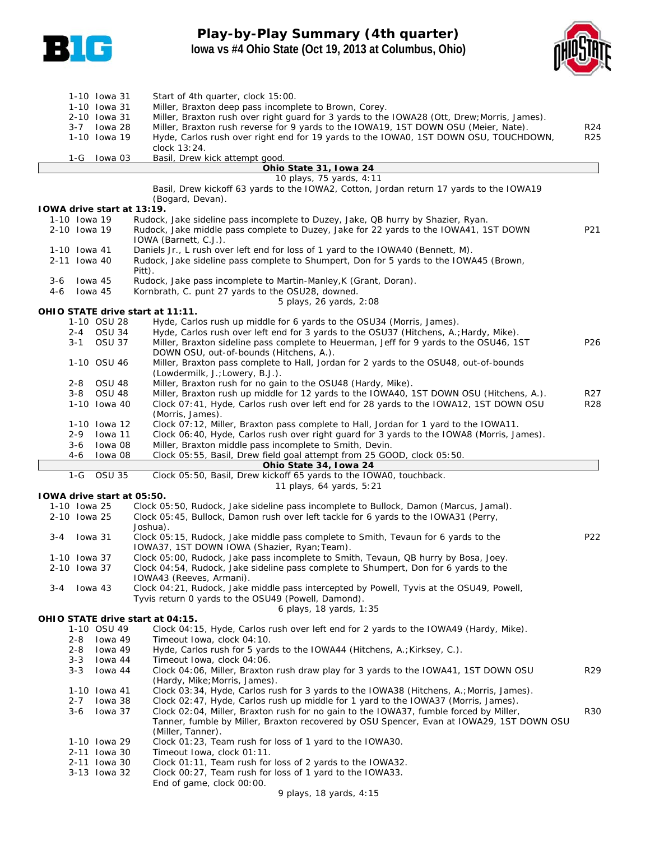

# **Play-by-Play Summary (4th quarter) Iowa vs #4 Ohio State (Oct 19, 2013 at Columbus, Ohio)**



|     | 3-7          | 1-10 Iowa 31<br>1-10 Iowa 31<br>2-10 Iowa 31<br>lowa 28<br>1-10 Iowa 19 | Start of 4th quarter, clock 15:00.<br>Miller, Braxton deep pass incomplete to Brown, Corey.<br>Miller, Braxton rush over right guard for 3 yards to the IOWA28 (Ott, Drew; Morris, James).<br>Miller, Braxton rush reverse for 9 yards to the IOWA19, 1ST DOWN OSU (Meier, Nate).<br>Hyde, Carlos rush over right end for 19 yards to the IOWA0, 1ST DOWN OSU, TOUCHDOWN,<br>clock 13:24. | R <sub>24</sub><br><b>R25</b> |
|-----|--------------|-------------------------------------------------------------------------|-------------------------------------------------------------------------------------------------------------------------------------------------------------------------------------------------------------------------------------------------------------------------------------------------------------------------------------------------------------------------------------------|-------------------------------|
|     | 1-G          | lowa 03                                                                 | Basil, Drew kick attempt good.                                                                                                                                                                                                                                                                                                                                                            |                               |
|     |              |                                                                         | Ohio State 31, Iowa 24                                                                                                                                                                                                                                                                                                                                                                    |                               |
|     |              |                                                                         | 10 plays, 75 yards, 4:11                                                                                                                                                                                                                                                                                                                                                                  |                               |
|     |              |                                                                         | Basil, Drew kickoff 63 yards to the IOWA2, Cotton, Jordan return 17 yards to the IOWA19                                                                                                                                                                                                                                                                                                   |                               |
|     |              | IOWA drive start at 13:19.                                              | (Bogard, Devan).                                                                                                                                                                                                                                                                                                                                                                          |                               |
|     | 1-10 Iowa 19 |                                                                         | Rudock, Jake sideline pass incomplete to Duzey, Jake, QB hurry by Shazier, Ryan.                                                                                                                                                                                                                                                                                                          |                               |
|     | 2-10 Iowa 19 |                                                                         | Rudock, Jake middle pass complete to Duzey, Jake for 22 yards to the IOWA41, 1ST DOWN<br>IOWA (Barnett, C.J.).                                                                                                                                                                                                                                                                            | P21                           |
|     | 1-10 Iowa 41 |                                                                         | Daniels Jr., L rush over left end for loss of 1 yard to the IOWA40 (Bennett, M).                                                                                                                                                                                                                                                                                                          |                               |
|     | 2-11 Iowa 40 |                                                                         | Rudock, Jake sideline pass complete to Shumpert, Don for 5 yards to the IOWA45 (Brown,                                                                                                                                                                                                                                                                                                    |                               |
|     |              |                                                                         | Pitt).                                                                                                                                                                                                                                                                                                                                                                                    |                               |
| 3-6 |              | lowa 45                                                                 | Rudock, Jake pass incomplete to Martin-Manley, K (Grant, Doran).                                                                                                                                                                                                                                                                                                                          |                               |
| 4-6 |              | lowa 45                                                                 | Kornbrath, C. punt 27 yards to the OSU28, downed.<br>5 plays, 26 yards, 2:08                                                                                                                                                                                                                                                                                                              |                               |
|     |              |                                                                         | OHIO STATE drive start at 11:11.                                                                                                                                                                                                                                                                                                                                                          |                               |
|     |              | 1-10 OSU 28                                                             | Hyde, Carlos rush up middle for 6 yards to the OSU34 (Morris, James).                                                                                                                                                                                                                                                                                                                     |                               |
|     |              | 2-4 OSU 34                                                              | Hyde, Carlos rush over left end for 3 yards to the OSU37 (Hitchens, A.; Hardy, Mike).                                                                                                                                                                                                                                                                                                     |                               |
|     | 3-1          | <b>OSU 37</b>                                                           | Miller, Braxton sideline pass complete to Heuerman, Jeff for 9 yards to the OSU46, 1ST                                                                                                                                                                                                                                                                                                    | P <sub>26</sub>               |
|     |              |                                                                         | DOWN OSU, out-of-bounds (Hitchens, A.).                                                                                                                                                                                                                                                                                                                                                   |                               |
|     |              | 1-10 OSU 46                                                             | Miller, Braxton pass complete to Hall, Jordan for 2 yards to the OSU48, out-of-bounds                                                                                                                                                                                                                                                                                                     |                               |
|     |              |                                                                         | (Lowdermilk, J.; Lowery, B.J.).                                                                                                                                                                                                                                                                                                                                                           |                               |
|     | 2-8          | OSU 48                                                                  | Miller, Braxton rush for no gain to the OSU48 (Hardy, Mike).                                                                                                                                                                                                                                                                                                                              |                               |
|     | $3 - 8$      | OSU 48                                                                  | Miller, Braxton rush up middle for 12 yards to the IOWA40, 1ST DOWN OSU (Hitchens, A.).<br>Clock 07:41, Hyde, Carlos rush over left end for 28 yards to the IOWA12, 1ST DOWN OSU                                                                                                                                                                                                          | R <sub>27</sub>               |
|     |              | 1-10 Iowa 40                                                            | (Morris, James).                                                                                                                                                                                                                                                                                                                                                                          | <b>R28</b>                    |
|     |              | 1-10 Iowa 12                                                            | Clock 07:12, Miller, Braxton pass complete to Hall, Jordan for 1 yard to the IOWA11.                                                                                                                                                                                                                                                                                                      |                               |
|     | 2-9          | Iowa 11                                                                 | Clock 06:40, Hyde, Carlos rush over right guard for 3 yards to the IOWA8 (Morris, James).                                                                                                                                                                                                                                                                                                 |                               |
|     | 3-6          | lowa 08                                                                 | Miller, Braxton middle pass incomplete to Smith, Devin.                                                                                                                                                                                                                                                                                                                                   |                               |
|     | 4-6          | lowa 08                                                                 | Clock 05:55, Basil, Drew field goal attempt from 25 GOOD, clock 05:50.                                                                                                                                                                                                                                                                                                                    |                               |
|     |              |                                                                         | Ohio State 34, Iowa 24                                                                                                                                                                                                                                                                                                                                                                    |                               |
|     | $1-G$        | <b>OSU 35</b>                                                           | Clock 05:50, Basil, Drew kickoff 65 yards to the IOWAO, touchback.                                                                                                                                                                                                                                                                                                                        |                               |
|     |              |                                                                         | 11 plays, 64 yards, 5:21                                                                                                                                                                                                                                                                                                                                                                  |                               |
|     | 1-10 Iowa 25 | 10WA drive start at 05:50.                                              | Clock 05:50, Rudock, Jake sideline pass incomplete to Bullock, Damon (Marcus, Jamal).                                                                                                                                                                                                                                                                                                     |                               |
|     | 2-10 Iowa 25 |                                                                         | Clock 05:45, Bullock, Damon rush over left tackle for 6 yards to the IOWA31 (Perry,                                                                                                                                                                                                                                                                                                       |                               |
|     |              |                                                                         | Joshua).                                                                                                                                                                                                                                                                                                                                                                                  |                               |
| 3-4 |              | lowa 31                                                                 | Clock 05:15, Rudock, Jake middle pass complete to Smith, Tevaun for 6 yards to the<br>IOWA37, 1ST DOWN IOWA (Shazier, Ryan; Team).                                                                                                                                                                                                                                                        | P <sub>22</sub>               |
|     | 1-10 Iowa 37 |                                                                         | Clock 05:00, Rudock, Jake pass incomplete to Smith, Tevaun, QB hurry by Bosa, Joey.                                                                                                                                                                                                                                                                                                       |                               |
|     | 2-10 Iowa 37 |                                                                         | Clock 04:54, Rudock, Jake sideline pass complete to Shumpert, Don for 6 yards to the                                                                                                                                                                                                                                                                                                      |                               |
|     |              |                                                                         | IOWA43 (Reeves, Armani).                                                                                                                                                                                                                                                                                                                                                                  |                               |
| 3-4 |              | lowa 43                                                                 | Clock 04:21, Rudock, Jake middle pass intercepted by Powell, Tyvis at the OSU49, Powell,<br>Tyvis return 0 yards to the OSU49 (Powell, Damond).<br>6 plays, 18 yards, 1:35                                                                                                                                                                                                                |                               |
|     |              |                                                                         | OHIO STATE drive start at 04:15.                                                                                                                                                                                                                                                                                                                                                          |                               |
|     |              | 1-10 OSU 49                                                             | Clock 04:15, Hyde, Carlos rush over left end for 2 yards to the IOWA49 (Hardy, Mike).                                                                                                                                                                                                                                                                                                     |                               |
|     | $2 - 8$      | Iowa 49                                                                 | Timeout Iowa, clock 04:10.                                                                                                                                                                                                                                                                                                                                                                |                               |
|     | 2-8          | lowa 49                                                                 | Hyde, Carlos rush for 5 yards to the IOWA44 (Hitchens, A.; Kirksey, C.).                                                                                                                                                                                                                                                                                                                  |                               |
|     | $3 - 3$      | lowa 44                                                                 | Timeout Iowa, clock 04:06.                                                                                                                                                                                                                                                                                                                                                                |                               |
|     | $3 - 3$      | lowa 44                                                                 | Clock 04:06, Miller, Braxton rush draw play for 3 yards to the IOWA41, 1ST DOWN OSU<br>(Hardy, Mike; Morris, James).                                                                                                                                                                                                                                                                      | R <sub>29</sub>               |
|     |              | 1-10 Iowa 41                                                            | Clock 03:34, Hyde, Carlos rush for 3 yards to the IOWA38 (Hitchens, A.; Morris, James).                                                                                                                                                                                                                                                                                                   |                               |
|     | $2 - 7$      | lowa 38                                                                 | Clock 02:47, Hyde, Carlos rush up middle for 1 yard to the IOWA37 (Morris, James).                                                                                                                                                                                                                                                                                                        |                               |
|     | $3 - 6$      | lowa 37                                                                 | Clock 02:04, Miller, Braxton rush for no gain to the IOWA37, fumble forced by Miller,                                                                                                                                                                                                                                                                                                     | R30                           |
|     |              |                                                                         | Tanner, fumble by Miller, Braxton recovered by OSU Spencer, Evan at IOWA29, 1ST DOWN OSU                                                                                                                                                                                                                                                                                                  |                               |
|     |              |                                                                         | (Miller, Tanner).                                                                                                                                                                                                                                                                                                                                                                         |                               |
|     |              | 1-10 Iowa 29                                                            | Clock 01:23, Team rush for loss of 1 yard to the IOWA30.                                                                                                                                                                                                                                                                                                                                  |                               |
|     |              | 2-11 Iowa 30                                                            | Timeout Iowa, clock 01:11.                                                                                                                                                                                                                                                                                                                                                                |                               |
|     |              | 2-11 Iowa 30                                                            | Clock 01:11, Team rush for loss of 2 yards to the IOWA32.                                                                                                                                                                                                                                                                                                                                 |                               |
|     |              | 3-13 Iowa 32                                                            | Clock 00:27, Team rush for loss of 1 yard to the IOWA33.<br>End of game, clock 00:00.                                                                                                                                                                                                                                                                                                     |                               |
|     |              |                                                                         | 9 plays, 18 yards, 4:15                                                                                                                                                                                                                                                                                                                                                                   |                               |
|     |              |                                                                         |                                                                                                                                                                                                                                                                                                                                                                                           |                               |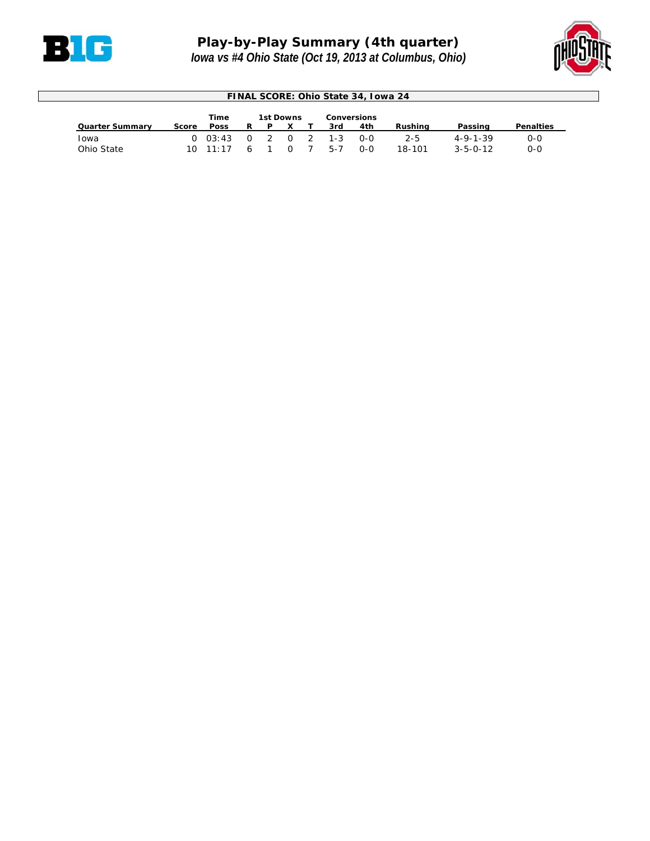



| FINAL SCORE: Ohio State 34, Iowa 24 |       |                  |                |                |          |                |         |                    |         |                  |                  |
|-------------------------------------|-------|------------------|----------------|----------------|----------|----------------|---------|--------------------|---------|------------------|------------------|
|                                     |       | <b>Time</b>      |                | 1st Downs      |          |                |         | <b>Conversions</b> |         |                  |                  |
| <b>Quarter Summary</b>              | Score | <b>Poss</b>      |                | P              |          |                | 3rd     | 4th                | Rushina | Passing          | <b>Penalties</b> |
| Iowa                                |       | 0.03:43          | റ              | $\overline{2}$ | <u>ດ</u> | $\overline{2}$ | $1 - 3$ | 0-0                | 2-5     | $4 - 9 - 1 - 39$ | $0 - 0$          |
| Ohio State                          |       | $10 \quad 11:17$ | $\overline{a}$ |                |          |                | 5-7     | 0-0                | 18-101  | $3 - 5 - 0 - 12$ | 0-0              |